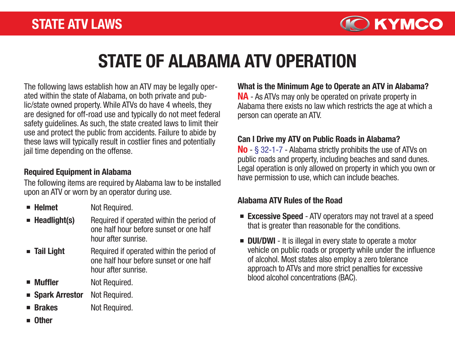

# STATE OF ALABAMA ATV OPERATION

The following laws establish how an ATV may be legally operated within the state of Alabama, on both private and public/state owned property. While ATVs do have 4 wheels, they are designed for off-road use and typically do not meet federal safety guidelines. As such, the state created laws to limit their use and protect the public from accidents. Failure to abide by these laws will typically result in costlier fines and potentially jail time depending on the offense.

#### Required Equipment in Alabama

The following items are required by Alabama law to be installed upon an ATV or worn by an operator during use.

- $\blacksquare$  Helmet Not Required.
- $\blacksquare$  Headlight(s) Required if operated within the period of one half hour before sunset or one half hour after sunrise.
- **Tail Light** Required if operated within the period of one half hour before sunset or one half hour after sunrise.
- Muffler Not Required.
- Spark Arrestor Not Required.
- **Brakes** Not Required.
- **n** Other

NA - As ATVs may only be operated on private property in Alabama there exists no law which restricts the age at which a What is the Minimum Age to Operate an ATV in Alabama?

person can operate an ATV.

### Can I Drive my ATV on Public Roads in Alabama?

No - § 32-1-7 - Alabama strictly prohibits the use of ATVs on public roads and property, including beaches and sand dunes. Legal operation is only allowed on property in which you own or have permission to use, which can include beaches.

### Alabama ATV Rules of the Road

- **Excessive Speed** ATV operators may not travel at a speed that is greater than reasonable for the conditions.
- **DUI/DWI** It is illegal in every state to operate a motor vehicle on public roads or property while under the influence of alcohol. Most states also employ a zero tolerance approach to ATVs and more strict penalties for excessive blood alcohol concentrations (BAC).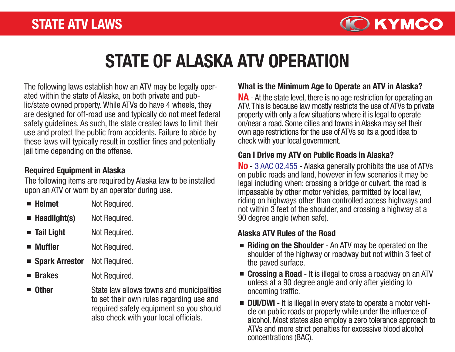

# STATE OF ALASKA ATV OPERATION

The following laws establish how an ATV may be legally operated within the state of Alaska, on both private and public/state owned property. While ATVs do have 4 wheels, they are designed for off-road use and typically do not meet federal safety guidelines. As such, the state created laws to limit their use and protect the public from accidents. Failure to abide by these laws will typically result in costlier fines and potentially jail time depending on the offense.

### Required Equipment in Alaska

The following items are required by Alaska law to be installed upon an ATV or worn by an operator during use.

| $\blacksquare$ Helmet       | Not Required. |  |  |  |  |
|-----------------------------|---------------|--|--|--|--|
| $\blacksquare$ Headlight(s) | Not Required. |  |  |  |  |
| $\blacksquare$ Tail Light   | Not Required. |  |  |  |  |

- **Muffler** Not Required.
- Spark Arrestor Not Required.
- **Brakes** Not Required.
- Other State law allows towns and municipalities to set their own rules regarding use and required safety equipment so you should also check with your local officials.

### What is the Minimum Age to Operate an ATV in Alaska?

NA - At the state level, there is no age restriction for operating an ATV. This is because law mostly restricts the use of ATVs to private property with only a few situations where it is legal to operate on/near a road. Some cities and towns in Alaska may set their own age restrictions for the use of ATVs so its a good idea to check with your local government.

### Can I Drive my ATV on Public Roads in Alaska?

No - 3 AAC 02.455 - Alaska generally prohibits the use of ATVs on public roads and land, however in few scenarios it may be legal including when: crossing a bridge or culvert, the road is impassable by other motor vehicles, permitted by local law, riding on highways other than controlled access highways and not within 3 feet of the shoulder, and crossing a highway at a 90 degree angle (when safe).

### Alaska ATV Rules of the Road

- Riding on the Shoulder An ATV may be operated on the shoulder of the highway or roadway but not within 3 feet of the paved surface.
- Crossing a Road It is illegal to cross a roadway on an ATV unless at a 90 degree angle and only after yielding to oncoming traffic.
- **DUI/DWI** It is illegal in every state to operate a motor vehi-<br>cle on public roads or property while under the influence of alcohol. Most states also employ a zero tolerance approach to ATVs and more strict penalties for excessive blood alcohol concentrations (BAC).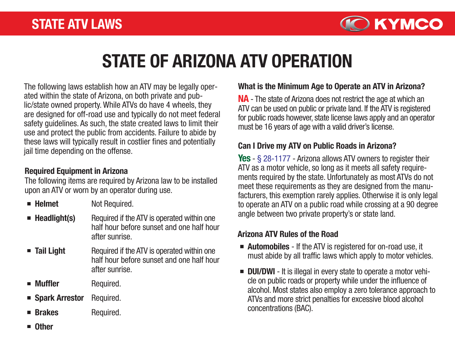

# STATE OF ARIZONA ATV OPERATION

The following laws establish how an ATV may be legally operated within the state of Arizona, on both private and public/state owned property. While ATVs do have 4 wheels, they are designed for off-road use and typically do not meet federal safety guidelines. As such, the state created laws to limit their use and protect the public from accidents. Failure to abide by these laws will typically result in costlier fines and potentially jail time depending on the offense.

### Required Equipment in Arizona

The following items are required by Arizona law to be installed upon an ATV or worn by an operator during use.

- $\blacksquare$  Helmet Not Required.
- $\blacksquare$  Headlight(s) Required if the ATV is operated within one half hour before sunset and one half hour after sunrise.
- Tail Light Required if the ATV is operated within one half hour before sunset and one half hour after sunrise.
- **Muffler** Required.
- Spark Arrestor Required.
- **Brakes** Required.

### What is the Minimum Age to Operate an ATV in Arizona?

NA - The state of Arizona does not restrict the age at which an ATV can be used on public or private land. If the ATV is registered for public roads however, state license laws apply and an operator must be 16 years of age with a valid driver's license.

#### Can I Drive my ATV on Public Roads in Arizona?

Yes - § 28-1177 - Arizona allows ATV owners to register their ATV as a motor vehicle, so long as it meets all safety requirements required by the state. Unfortunately as most ATVs do not meet these requirements as they are designed from the manufacturers, this exemption rarely applies. Otherwise it is only legal to operate an ATV on a public road while crossing at a 90 degree angle between two private property's or state land.

#### Arizona ATV Rules of the Road

- **Automobiles** If the ATV is registered for on-road use, it must abide by all traffic laws which apply to motor vehicles.
- **DUI/DWI** It is illegal in every state to operate a motor vehicle on public roads or property while under the influence of alcohol. Most states also employ a zero tolerance approach to ATVs and more strict penalties for excessive blood alcohol concentrations (BAC).

**Other**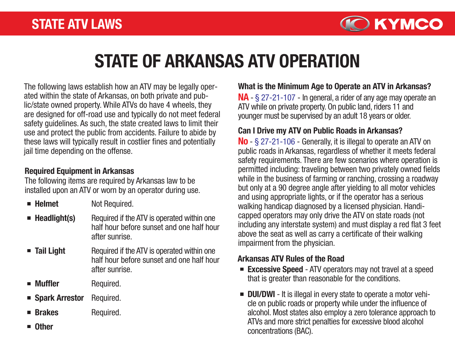

# STATE OF ARKANSAS ATV OPERATION

The following laws establish how an ATV may be legally operated within the state of Arkansas, on both private and public/state owned property. While ATVs do have 4 wheels, they are designed for off-road use and typically do not meet federal safety guidelines. As such, the state created laws to limit their use and protect the public from accidents. Failure to abide by these laws will typically result in costlier fines and potentially jail time depending on the offense.

### Required Equipment in Arkansas

The following items are required by Arkansas law to be installed upon an ATV or worn by an operator during use.

- $\blacksquare$  Helmet Not Required.
- $\blacksquare$  Headlight(s) Required if the ATV is operated within one half hour before sunset and one half hour after sunrise.
- Tail Light Required if the ATV is operated within one half hour before sunset and one half hour after sunrise.
- **Muffler** Required.
- Spark Arrestor Required.
- **Brakes** Required.
- **Other**

### What is the Minimum Age to Operate an ATV in Arkansas?

NA - § 27-21-107 - In general, a rider of any age may operate an ATV while on private property. On public land, riders 11 and younger must be supervised by an adult 18 years or older.

### Can I Drive my ATV on Public Roads in Arkansas?

No - § 27-21-106 - Generally, it is illegal to operate an ATV on public roads in Arkansas, regardless of whether it meets federal safety requirements. There are few scenarios where operation is permitted including: traveling between two privately owned fields while in the business of farming or ranching, crossing a roadway but only at a 90 degree angle after yielding to all motor vehicles and using appropriate lights, or if the operator has a serious walking handicap diagnosed by a licensed physician. Handicapped operators may only drive the ATV on state roads (not including any interstate system) and must display a red flat 3 feet above the seat as well as carry a certificate of their walking impairment from the physician.

### Arkansas ATV Rules of the Road

- **Excessive Speed** ATV operators may not travel at a speed that is greater than reasonable for the conditions.
- **DUI/DWI** It is illegal in every state to operate a motor vehicle on public roads or property while under the influence of alcohol. Most states also employ a zero tolerance approach to ATVs and more strict penalties for excessive blood alcohol concentrations (BAC).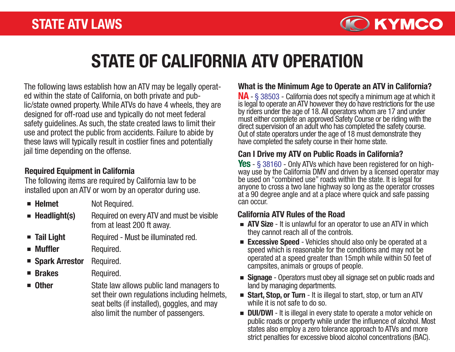

# STATE OF CALIFORNIA ATV OPERATION

The following laws establish how an ATV may be legally operated within the state of California, on both private and public/state owned property. While ATVs do have 4 wheels, they are designed for off-road use and typically do not meet federal safety guidelines. As such, the state created laws to limit their use and protect the public from accidents. Failure to abide by these laws will typically result in costlier fines and potentially jail time depending on the offense.

### Required Equipment in California

The following items are required by California law to be installed upon an ATV or worn by an operator during use.

- $\blacksquare$  Helmet
- Not Required.
- $\blacksquare$  Headlight(s) Required on every ATV and must be visible from at least 200 ft away.
- **Tail Light** Required - Must be illuminated red.
- **Muffler** Required.
- Spark Arrestor Required.
- Brakes Required.
- **n** Other State law allows public land managers to set their own regulations including helmets, seat belts (if installed), goggles, and may also limit the number of passengers.

### What is the Minimum Age to Operate an ATV in California?

NA - § 38503 - California does not specify a minimum age at which it is legal to operate an ATV however they do have restrictions for the use by riders under the age of 18. All operators whom are 17 and under must either complete an approved Safety Course or be riding with the direct supervision of an adult who has completed the safety course. Out of state operators under the age of 18 must demonstrate they have completed the safety course in their home state.

### Can I Drive my ATV on Public Roads in California?

**Yes** - § 38160 - Only ATVs which have been registered for on high-<br>way use by the California DMV and driven by a licensed operator may be used on "combined use" roads within the state. It is legal for anyone to cross a two lane highway so long as the operator crosses at a 90 degree angle and at a place where quick and safe passing can occur.

#### California ATV Rules of the Road

- **ATV Size** It is unlawful for an operator to use an ATV in which they cannot reach all of the controls.
- **Excessive Speed** Vehicles should also only be operated at a speed which is reasonable for the conditions and may not be operated at a speed greater than 15mph while within 50 feet of campsites, animals or groups of people.
- **Signage** Operators must obey all signage set on public roads and land by managing departments.
- **Start, Stop, or Turn** It is illegal to start, stop, or turn an ATV while it is not safe to do so.
- **DUI/DWI** It is illegal in every state to operate a motor vehicle on public roads or property while under the influence of alcohol. Most states also employ a zero tolerance approach to ATVs and more strict penalties for excessive blood alcohol concentrations (BAC).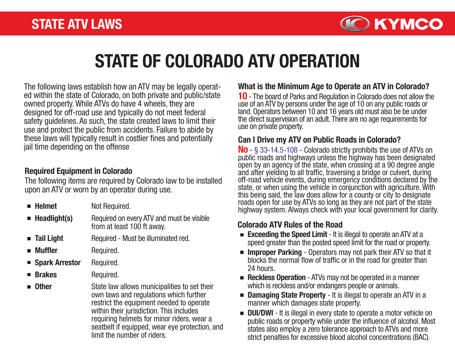

# STATE OF COLORADO ATV OPERATION

The following laws establish how an ATV may be legally operat ed within the state of Colorado, on both private and public/state owned property. While ATVs do have 4 wheels, they are designed for off-road use and typically do not meet federal safety guidelines. As such, the state created laws to limit their use and protect the public from accidents. Failure to abide by these laws will typically result in costlier fines and potentially jail time depending on the offense

#### Required Equipment in Colorado

The following items are required by Colorado law to be installed upon an ATV or worn by an operator during use.

- $\blacksquare$  Helmet  $\blacksquare$  Headlight(s) **Tail Light Muffler** Spark Arrestor **Brakes** Not Required. Required on every ATV and must be visible from at least 100 ft away. Required - Must be illuminated red. Required. Required. Required.
- **n** Other State law allows municipalities to set their own laws and regulations which further restrict the equipment needed to operate within their jurisdiction. This includes requiring helmets for minor riders, wear a seatbelt if equipped, wear eye protection, and limit the number of riders.

### What is the Minimum Age to Operate an ATV in Colorado?

10 - The board of Parks and Regulation in Colorado does not allow the use of an ATV by persons under the age of 10 on any public roads or land. Operators between 10 and 16 years old must also be be under the direct supervision of an adult. There are no age requirements for use on private property.

### Can I Drive my ATV on Public Roads in Colorado?

No - § 33-14.5-108 - Colorado strictly prohibits the use of ATVs on public roads and highways unless the highway has been designated open by an agency of the state, when crossing at a 90 degree angle and after yielding to all traffic, traversing a bridge or culvert, during off-road vehicle events, during emergency conditions declared by the state, or when using the vehicle in conjunction with agriculture. With this being said, the law does allow for a county or city to designate roads open for use by ATVs so long as they are not part of the state highway system. Always check with your local government for clarity.

### Colorado ATV Rules of the Road

- **Exceeding the Speed Limit It is illegal to operate an ATV at a** speed greater than the posted speed limit for the road or property.
- **Improper Parking** Operators may not park their ATV so that it blocks the normal flow of traffic or in the road for greater than 24 hours.
- Reckless Operation ATVs may not be operated in a manner which is reckless and/or endangers people or animals.
- Damaging State Property It is illegal to operate an ATV in a manner which damages state property.
- **DUI/DWI** It is illegal in every state to operate a motor vehicle on public roads or property while under the influence of alcohol. Most states also employ a zero tolerance approach to ATVs and more strict penalties for excessive blood alcohol concentrations (BAC).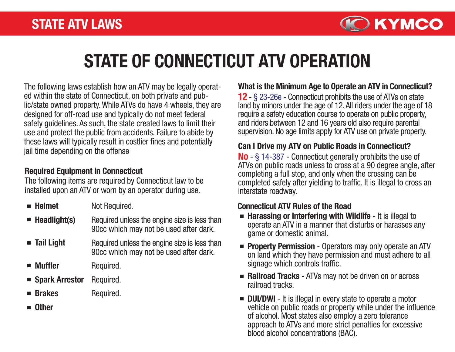

# STATE OF CONNECTICUT ATV OPERATION

The following laws establish how an ATV may be legally operated within the state of Connecticut, on both private and public/state owned property. While ATVs do have 4 wheels, they are designed for off-road use and typically do not meet federal safety guidelines. As such, the state created laws to limit their use and protect the public from accidents. Failure to abide by these laws will typically result in costlier fines and potentially jail time depending on the offense

### Required Equipment in Connecticut

The following items are required by Connecticut law to be installed upon an ATV or worn by an operator during use.

- $\blacksquare$  Helmet Not Required.
- $\blacksquare$  Headlight(s) Required unless the engine size is less than 90cc which may not be used after dark.
- **Tail Light** Required unless the engine size is less than 90cc which may not be used after dark.
- **Muffler** Required.
- Spark Arrestor Required.
- **Brakes** Required.
- **n** Other

### What is the Minimum Age to Operate an ATV in Connecticut?

12 - § 23-26e - Connecticut prohibits the use of ATVs on state land by minors under the age of 12. All riders under the age of 18 require a safety education course to operate on public property, and riders between 12 and 16 years old also require parental supervision. No age limits apply for ATV use on private property.

#### Can I Drive my ATV on Public Roads in Connecticut?

No - § 14-387 - Connecticut generally prohibits the use of ATVs on public roads unless to cross at a 90 degree angle, after completing a full stop, and only when the crossing can be completed safely after yielding to traffic. It is illegal to cross an interstate roadway.

#### Connecticut ATV Rules of the Road

- **Harassing or Interfering with Wildlife** It is illegal to operate an ATV in a manner that disturbs or harasses any game or domestic animal.
- **Property Permission** Operators may only operate an ATV on land which they have permission and must adhere to all signage which controls traffic.
- Railroad Tracks ATVs may not be driven on or across railroad tracks.
- **DUI/DWI** It is illegal in every state to operate a motor vehicle on public roads or property while under the influence of alcohol. Most states also employ a zero tolerance approach to ATVs and more strict penalties for excessive blood alcohol concentrations (BAC).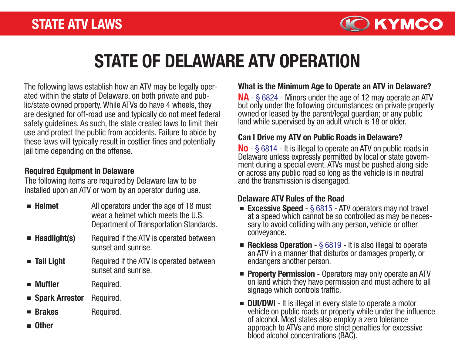

# STATE OF DELAWARE ATV OPERATION

The following laws establish how an ATV may be legally operated within the state of Delaware, on both private and public/state owned property. While ATVs do have 4 wheels, they are designed for off-road use and typically do not meet federal safety guidelines. As such, the state created laws to limit their use and protect the public from accidents. Failure to abide by these laws will typically result in costlier fines and potentially jail time depending on the offense.

### Required Equipment in Delaware

The following items are required by Delaware law to be installed upon an ATV or worn by an operator during use.

- $\blacksquare$  Helmet All operators under the age of 18 must wear a helmet which meets the U.S. Department of Transportation Standards.
- $\blacksquare$  Headlight(s) Required if the ATV is operated between sunset and sunrise.
- **Tail Light** Required if the ATV is operated between sunset and sunrise.
- **Muffler** Required.
- Spark Arrestor Required.
- **Brakes** Required.
- Other

### What is the Minimum Age to Operate an ATV in Delaware?

NA - § 6824 - Minors under the age of 12 may operate an ATV but only under the following circumstances: on private property owned or leased by the parent/legal guardian; or any public land while supervised by an adult which is 18 or older.

#### Can I Drive my ATV on Public Roads in Delaware?

**No** - § 6814 - It is illegal to operate an ATV on public roads in Delaware unless expressly permitted by local or state government during a special event. ATVs must be pushed along side or across any public road so long as the vehicle is in neutral and the transmission is disengaged.

#### Delaware ATV Rules of the Road

- **Excessive Speed**  $\S$  6815 ATV operators may not travel<br>at a speed which cannot be so controlled as may be necessary to avoid colliding with any person, vehicle or other conveyance.
- Reckless Operation  $\S$  6819 It is also illegal to operate an ATV in a manner that disturbs or damages property, or endangers another person.
- **Property Permission** Operators may only operate an ATV on land which they have permission and must adhere to all signage which controls traffic.
- **DUI/DWI** It is illegal in every state to operate a motor vehicle on public roads or property while under the influence of alcohol. Most states also employ a zero tolerance approach to ATVs and more strict penalties for excessive blood alcohol concentrations (BAC).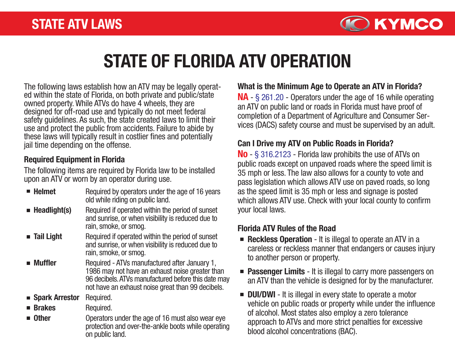

# STATE OF FLORIDA ATV OPERATION

The following laws establish how an ATV may be legally operat- ed within the state of Florida, on both private and public/state owned property. While ATVs do have 4 wheels, they are designed for off-road use and typically do not meet federal safety guidelines. As such, the state created laws to limit their use and protect the public from accidents. Failure to abide by these laws will typically result in costlier fines and potentially jail time depending on the offense.

### Required Equipment in Florida

The following items are required by Florida law to be installed upon an ATV or worn by an operator during use.

 $\blacksquare$  Helmet  $\blacksquare$  Headlight(s) **Tail Light Muffler** ■ Spark Arrestor  $\blacksquare$  Brakes **n** Other Required by operators under the age of 16 years old while riding on public land. Required if operated within the period of sunset and sunrise, or when visibility is reduced due to rain, smoke, or smog. Required if operated within the period of sunset and sunrise, or when visibility is reduced due to rain, smoke, or smog. Required - ATVs manufactured after January 1, 1986 may not have an exhaust noise greater than 96 decibels. ATVs manufactured before this date may not have an exhaust noise great than 99 decibels. Required. Required. Operators under the age of 16 must also wear eye protection and over-the-ankle boots while operating

on public land.

#### What is the Minimum Age to Operate an ATV in Florida?

NA - § 261.20 - Operators under the age of 16 while operating an ATV on public land or roads in Florida must have proof of completion of a Department of Agriculture and Consumer Services (DACS) safety course and must be supervised by an adult.

### Can I Drive my ATV on Public Roads in Florida?

No - § 316.2123 - Florida law prohibits the use of ATVs on public roads except on unpaved roads where the speed limit is 35 mph or less. The law also allows for a county to vote and pass legislation which allows ATV use on paved roads, so long as the speed limit is 35 mph or less and signage is posted which allows ATV use. Check with your local county to confirm your local laws.

### Florida ATV Rules of the Road

- Reckless Operation It is illegal to operate an ATV in a careless or reckless manner that endangers or causes injury to another person or property.
- **Passenger Limits** It is illegal to carry more passengers on an ATV than the vehicle is designed for by the manufacturer.
- **DUI/DWI** It is illegal in every state to operate a motor vehicle on public roads or property while under the influence of alcohol. Most states also employ a zero tolerance approach to ATVs and more strict penalties for excessive blood alcohol concentrations (BAC).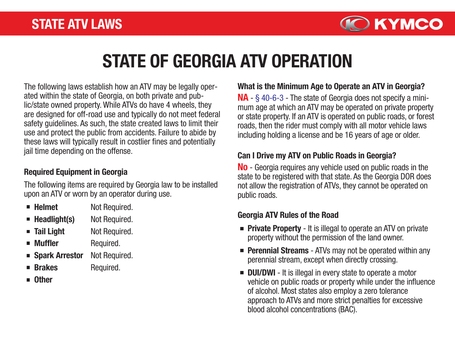

# STATE OF GEORGIA ATV OPERATION

The following laws establish how an ATV may be legally operated within the state of Georgia, on both private and public/state owned property. While ATVs do have 4 wheels, they are designed for off-road use and typically do not meet federal safety guidelines. As such, the state created laws to limit their use and protect the public from accidents. Failure to abide by these laws will typically result in costlier fines and potentially jail time depending on the offense.

### Required Equipment in Georgia

The following items are required by Georgia law to be installed upon an ATV or worn by an operator during use.

- $\blacksquare$  Helmet Not Required.
- $\blacksquare$  Headlight(s) Not Required.
- **Tail Light** Not Required.
- **Muffler** Required.
- Spark Arrestor Not Required.

Required.

- **Brakes**
- **n** Other

### What is the Minimum Age to Operate an ATV in Georgia?

NA - § 40-6-3 - The state of Georgia does not specify a minimum age at which an ATV may be operated on private property or state property. If an ATV is operated on public roads, or forest roads, then the rider must comply with all motor vehicle laws including holding a license and be 16 years of age or older.

### Can I Drive my ATV on Public Roads in Georgia?

No - Georgia requires any vehicle used on public roads in the state to be registered with that state. As the Georgia DOR does not allow the registration of ATVs, they cannot be operated on public roads.

### Georgia ATV Rules of the Road

- **Private Property** It is illegal to operate an ATV on private property without the permission of the land owner.
- **Perennial Streams** ATVs may not be operated within any perennial stream, except when directly crossing.
- **DUI/DWI** It is illegal in every state to operate a motor vehicle on public roads or property while under the influence of alcohol. Most states also employ a zero tolerance approach to ATVs and more strict penalties for excessive blood alcohol concentrations (BAC).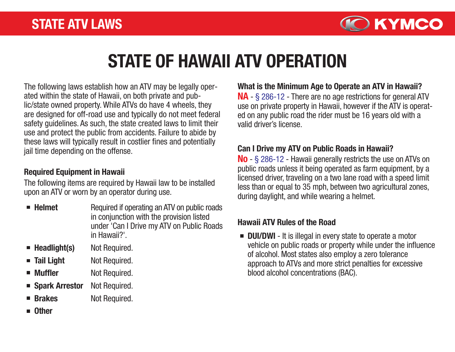

# STATE OF HAWAII ATV OPERATION

The following laws establish how an ATV may be legally operated within the state of Hawaii, on both private and public/state owned property. While ATVs do have 4 wheels, they are designed for off-road use and typically do not meet federal safety guidelines. As such, the state created laws to limit their use and protect the public from accidents. Failure to abide by these laws will typically result in costlier fines and potentially jail time depending on the offense.

#### Required Equipment in Hawaii

The following items are required by Hawaii law to be installed upon an ATV or worn by an operator during use.

- $\blacksquare$  Helmet Required if operating an ATV on public roads in conjunction with the provision listed under 'Can I Drive my ATV on Public Roads in Hawaii?'.
- $\blacksquare$  Headlight(s) Not Required.
- **Tail Light** Not Required.
- Muffler Not Required.
- Spark Arrestor Not Required.
- **Brakes** Not Required.
- **Other**

NA - § 286-12 - There are no age restrictions for general ATV use on private property in Hawaii, however if the ATV is operated on any public road the rider must be 16 years old with a valid driver's license. What is the Minimum Age to Operate an ATV in Hawaii?

### Can I Drive my ATV on Public Roads in Hawaii?

No - § 286-12 - Hawaii generally restricts the use on ATVs on public roads unless it being operated as farm equipment, by a licensed driver, traveling on a two lane road with a speed limit less than or equal to 35 mph, between two agricultural zones, during daylight, and while wearing a helmet.

### Hawaii ATV Rules of the Road

**DUI/DWI** - It is illegal in every state to operate a motor vehicle on public roads or property while under the influence of alcohol. Most states also employ a zero tolerance approach to ATVs and more strict penalties for excessive blood alcohol concentrations (BAC).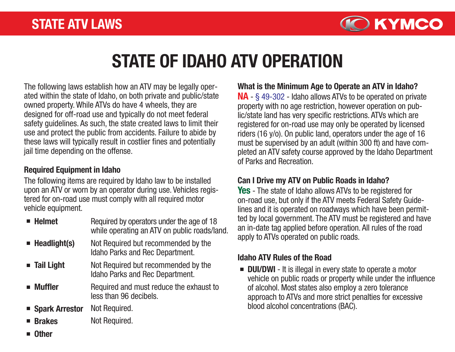

# STATE OF IDAHO ATV OPERATION

The following laws establish how an ATV may be legally operated within the state of Idaho, on both private and public/state owned property. While ATVs do have 4 wheels, they are designed for off-road use and typically do not meet federal safety guidelines. As such, the state created laws to limit their use and protect the public from accidents. Failure to abide by these laws will typically result in costlier fines and potentially jail time depending on the offense.

#### Required Equipment in Idaho

The following items are required by Idaho law to be installed **Can I Drive my ATV on Public Roads in Idaho?** upon an ATV or worn by an operator during use. Vehicles registered for on-road use must comply with all required motor vehicle equipment.

| $\blacksquare$ Helmet       | Required by operators under the age of 18<br>while operating an ATV on public roads/land. |
|-----------------------------|-------------------------------------------------------------------------------------------|
| $\blacksquare$ Headlight(s) | Not Required but recommended by the<br>Idaho Parks and Rec Department.                    |
| $\blacksquare$ Tail Light   | Not Required but recommended by the<br>Idaho Parks and Rec Department.                    |
| $\blacksquare$ Muffler      | Required and must reduce the exhaust to<br>less than 96 decibels.                         |
| ■ Spark Arrestor            | Not Required.                                                                             |
| <b>Brakes</b>               | Not Required.                                                                             |

#### What is the Minimum Age to Operate an ATV in Idaho?

NA - § 49-302 - Idaho allows ATVs to be operated on private property with no age restriction, however operation on public/state land has very specific restrictions. ATVs which are registered for on-road use may only be operated by licensed riders (16 y/o). On public land, operators under the age of 16 must be supervised by an adult (within 300 ft) and have completed an ATV safety course approved by the Idaho Department of Parks and Recreation.

**Yes** - The state of Idaho allows ATVs to be registered for on-road use, but only if the ATV meets Federal Safety Guidelines and it is operated on roadways which have been permitted by local government. The ATV must be registered and have an in-date tag applied before operation. All rules of the road apply to ATVs operated on public roads.

#### Idaho ATV Rules of the Road

**DUI/DWI** - It is illegal in every state to operate a motor vehicle on public roads or property while under the influence of alcohol. Most states also employ a zero tolerance approach to ATVs and more strict penalties for excessive blood alcohol concentrations (BAC).

**Other**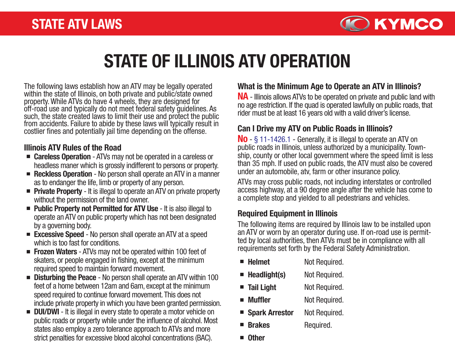

# STATE OF ILLINOIS ATV OPERATION

The following laws establish how an ATV may be legally operated within the state of Illinois, on both private and public/state owned property. While ATVs do have 4 wheels, they are designed for off-road use and typically do not meet federal safety guidelines. As such, the state created laws to limit their use and protect the public from accidents. Failure to abide by these laws will typically result in costlier fines and potentially jail time depending on the offense.

### Illinois ATV Rules of the Road

- Careless Operation ATVs may not be operated in a careless or headless maner which is grossly indifferent to persons or property.
- Reckless Operation No person shall operate an ATV in a manner as to endanger the life, limb or property of any person.
- **Private Property** It is illegal to operate an ATV on private property without the permission of the land owner.
- **Public Property not Permitted for ATV Use It is also illegal to** operate an ATV on public property which has not been designated by a governing body.
- **Excessive Speed** No person shall operate an ATV at a speed which is too fast for conditions.
- **Frozen Waters** ATVs may not be operated within 100 feet of skaters, or people engaged in fishing, except at the minimum required speed to maintain forward movement.
- **Disturbing the Peace** No person shall operate an ATV within 100 feet of a home between 12am and 6am, except at the minimum speed required to continue forward movement. This does not include private property in which you have been granted permission.
- **DUI/DWI** It is illegal in every state to operate a motor vehicle on public roads or property while under the influence of alcohol. Most states also employ a zero tolerance approach to ATVs and more strict penalties for excessive blood alcohol concentrations (BAC).

### What is the Minimum Age to Operate an ATV in Illinois?

NA - Illinois allows ATVs to be operated on private and public land with no age restriction. If the quad is operated lawfully on public roads, that rider must be at least 16 years old with a valid driver's license.

### Can I Drive my ATV on Public Roads in Illinois?

No - § 11-1426.1 - Generally, it is illegal to operate an ATV on public roads in Illinois, unless authorized by a municipality. Town ship, county or other local government where the speed limit is less than 35 mph. If used on public roads, the ATV must also be covered under an automobile, atv, farm or other insurance policy.

ATVs may cross public roads, not including interstates or controlled access highway, at a 90 degree angle after the vehicle has come to a complete stop and yielded to all pedestrians and vehicles.

#### Required Equipment in Illinois

The following items are required by Illinois law to be installed upon an ATV or worn by an operator during use. If on-road use is permitted by local authorities, then ATVs must be in compliance with all requirements set forth by the Federal Safety Administration.

| $\blacksquare$ Helmet       | Not Required. |
|-----------------------------|---------------|
| $\blacksquare$ Headlight(s) | Not Required. |
| <b>Tail Light</b>           | Not Required. |
| <b>Muffler</b>              | Not Required. |
| ■ Spark Arrestor            | Not Required. |

- **Brakes** Required.
- **Other**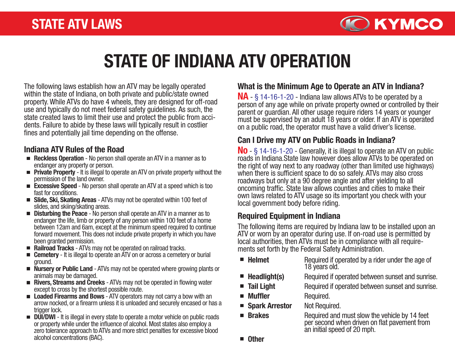

# STATE OF INDIANA ATV OPERATION

The following laws establish how an ATV may be legally operated within the state of Indiana, on both private and public/state owned property. While ATVs do have 4 wheels, they are designed for off-road use and typically do not meet federal safety guidelines. As such, the state created laws to limit their use and protect the public from accidents. Failure to abide by these laws will typically result in costlier fines and potentially jail time depending on the offense.

#### Indiana ATV Rules of the Road

- Reckless Operation No person shall operate an ATV in a manner as to endanger any property or person.
- **Private Property** It is illegal to operate an ATV on private property without the permission of the land owner.
- Excessive Speed No person shall operate an ATV at a speed which is too fast for conditions.
- Slide, Ski, Skating Areas ATVs may not be operated within 100 feet of slides, and skiing/skating areas.
- **Disturbing the Peace** No person shall operate an ATV in a manner as to endanger the life, limb or property of any person within 100 feet of a home between 12am and 6am, except at the minimum speed required to continue forward movement. This does not include private property in which you have been granted permission.
- Railroad Tracks ATVs may not be operated on railroad tracks.
- Cemetery It is illegal to operate an ATV on or across a cemetery or burial ground.
- Nursery or Public Land ATVs may not be operated where growing plants or animals may be damaged.
- **Rivers, Streams and Creeks** ATVs may not be operated in flowing water except to cross by the shortest possible route.
- Loaded Firearms and Bows ATV operators may not carry a bow with an arrow nocked, or a firearm unless it is unloaded and securely encased or has a trigger lock.
- **DUI/DWI** It is illegal in every state to operate a motor vehicle on public roads or property while under the influence of alcohol. Most states also employ a zero tolerance approach to ATVs and more strict penalties for excessive blood alcohol concentrations (BAC).

# What is the Minimum Age to Operate an ATV in Indiana?

NA - § 14-16-1-20 - Indiana law allows ATVs to be operated by a person of any age while on private property owned or controlled by their parent or guardian. All other usage require riders 14 years or younger must be supervised by an adult 18 years or older. If an ATV is operated on a public road, the operator must have a valid driver's license.

## Can I Drive my ATV on Public Roads in Indiana?

No - § 14-16-1-20 - Generally, it is illegal to operate an ATV on public roads in Indiana.State law however does allow ATVs to be operated on the right of way next to any roadway (other than limited use highways) when there is sufficient space to do so safely. ATVs may also cross roadways but only at a 90 degree angle and after yielding to all oncoming traffic. State law allows counties and cities to make their own laws related to ATV usage so its important you check with your local government body before riding.

### Required Equipment in Indiana

The following items are required by Indiana law to be installed upon an ATV or worn by an operator during use. If on-road use is permitted by local authorities, then ATVs must be in compliance with all require- ments set forth by the Federal Safety Administration.

- Required if operated by a rider under the age of  $\blacksquare$  Helmet 18 years old.  $\mathcal{L}_{\mathcal{A}}$ Headlight(s) Required if operated between sunset and sunrise.
	- Tail Light Muffler Required if operated between sunset and sunrise. Required.
	- Spark Arrestor Not Required.
- **Brakes**

Required and must slow the vehicle by 14 feet

per second when driven on flat pavement from an initial speed of 20 mph.

 $\overline{\phantom{a}}$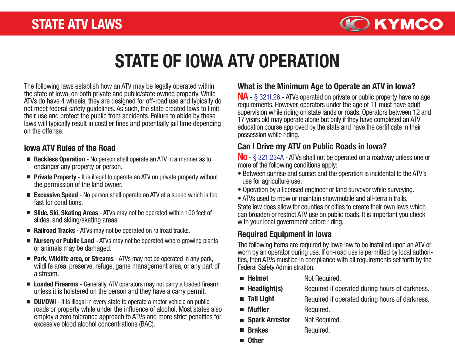

# STATE OF IOWA ATV OPERATION

The following laws establish how an ATV may be legally operated within the state of Iowa, on both private and public/state owned property. While ATVs do have 4 wheels, they are designed for off-road use and typically do not meet federal safety guidelines. As such, the state created laws to limit their use and protect the public from accidents. Failure to abide by these laws will typically result in costlier fines and potentially jail time depending on the offense.

#### Iowa ATV Rules of the Road

- Reckless Operation No person shall operate an ATV in a manner as to endanger any property or person.
- **Private Property** It is illegal to operate an ATV on private property without the permission of the land owner.
- Excessive Speed No person shall operate an ATV at a speed which is too fast for conditions.
- Slide, Ski, Skating Areas ATVs may not be operated within 100 feet of slides, and skiing/skating areas.
- Railroad Tracks ATVs may not be operated on railroad tracks.
- Nursery or Public Land ATVs may not be operated where growing plants or animals may be damaged.
- **Park, Wildlife area, or Streams** ATVs may not be operated in any park, wildlife area, preserve, refuge, game management area, or any part of a stream.
- Loaded Firearms Generally, ATV operators may not carry a loaded firearm unless it is holstered on the person and they have a carry permit.
- **DUI/DWI** It is illegal in every state to operate a motor vehicle on public roads or property while under the influence of alcohol. Most states also employ a zero tolerance approach to ATVs and more strict penalties for excessive blood alcohol concentrations (BAC).

### What is the Minimum Age to Operate an ATV in Iowa?

NA - § 321I.26 - ATVs operated on private or public property have no age requirements. However, operators under the age of 11 must have adult supervision while riding on state lands or roads. Operators between 12 and 17 years old may operate alone but only if they have completed an ATV education course approved by the state and have the certificate in their possession while riding.

#### Can I Drive my ATV on Public Roads in Iowa?

No - § 321.234A - ATVs shall not be operated on a roadway unless one or more of the following conditions apply:

- Between sunrise and sunset and the operation is incidental to the ATV's use for agriculture use.
- Operation by a licensed engineer or land surveyor while surveying.
- ATVs used to mow or maintain snowmobile and all-terrain trails.

State law does allow for counties or cities to create their own laws which can broaden or restrict ATV use on public roads. It is important you check with your local government before riding.

### Required Equipment in Iowa

The following items are required by Iowa law to be installed upon an ATV or worn by an operator during use. If on-road use is permitted by local authorities, then ATVs must be in compliance with all requirements set forth by the Federal Safety Administration.

- **Helmet** Not Required.
	- Headlight(s) Required if operated during hours of darkness.
	- Tail Light Muffler Required if operated during hours of darkness. Required.

Required.

- Spark Arrestor Not Required.
- Brakes
- **n** Other

 $\mathcal{L}_{\mathcal{A}}$  $\blacksquare$  $\Box$ 

П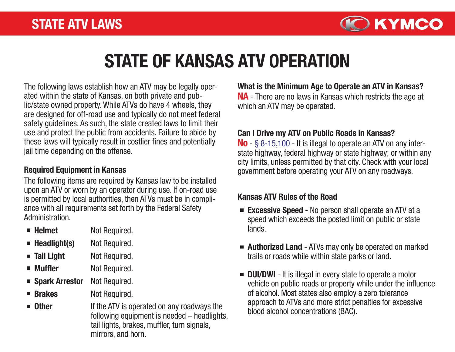

# STATE OF KANSAS ATV OPERATION

The following laws establish how an ATV may be legally operated within the state of Kansas, on both private and public/state owned property. While ATVs do have 4 wheels, they are designed for off-road use and typically do not meet federal safety guidelines. As such, the state created laws to limit their use and protect the public from accidents. Failure to abide by these laws will typically result in costlier fines and potentially jail time depending on the offense.

#### Required Equipment in Kansas

The following items are required by Kansas law to be installed upon an ATV or worn by an operator during use. If on-road use is permitted by local authorities, then ATVs must be in compliance with all requirements set forth by the Federal Safety **Administration** 

- $\blacksquare$  Helmet Not Required.
- $\blacksquare$  Headlight(s) Not Required.
- **Tail Light** Not Required.
- **Muffler** Not Required.
- Spark Arrestor Not Required.
- **Brakes** Not Required.
- **n** Other If the ATV is operated on any roadways the following equipment is needed – headlights, tail lights, brakes, muffler, turn signals, mirrors, and horn.

NA - There are no laws in Kansas which restricts the age at which an ATV may be operated. What is the Minimum Age to Operate an ATV in Kansas?

### Can I Drive my ATV on Public Roads in Kansas?

 $\text{No}$  - § 8-15,100 - It is illegal to operate an ATV on any interstate highway, federal highway or state highway; or within any city limits, unless permitted by that city. Check with your local government before operating your ATV on any roadways.

### Kansas ATV Rules of the Road

- **Excessive Speed** No person shall operate an ATV at a speed which exceeds the posted limit on public or state lands.
- Authorized Land ATVs may only be operated on marked trails or roads while within state parks or land.
- **DUI/DWI** It is illegal in every state to operate a motor vehicle on public roads or property while under the influence of alcohol. Most states also employ a zero tolerance approach to ATVs and more strict penalties for excessive blood alcohol concentrations (BAC).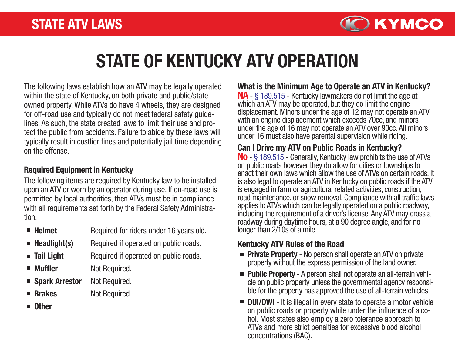

# STATE OF KENTUCKY ATV OPERATION

The following laws establish how an ATV may be legally operated within the state of Kentucky, on both private and public/state owned property. While ATVs do have 4 wheels, they are designed for off-road use and typically do not meet federal safety guidelines. As such, the state created laws to limit their use and protect the public from accidents. Failure to abide by these laws will typically result in costlier fines and potentially jail time depending on the offense.

#### Required Equipment in Kentucky

The following items are required by Kentucky law to be installed upon an ATV or worn by an operator during use. If on-road use is permitted by local authorities, then ATVs must be in compliance with all requirements set forth by the Federal Safety Administration.

| $\blacksquare$ Helmet |  |  | Required for riders under 16 years old. |  |
|-----------------------|--|--|-----------------------------------------|--|
|                       |  |  |                                         |  |

- $\blacksquare$  Headlight(s) Required if operated on public roads.
- **Tail Light** Required if operated on public roads.
- Muffler Not Required.
- Spark Arrestor Not Required.
- Brakes Not Required.
- **n** Other

NA - § 189.515 - Kentucky lawmakers do not limit the age at which an ATV may be operated, but they do limit the engine displacement. Minors under the age of 12 may not operate an ATV with an engine displacement which exceeds 70cc, and minors under the age of 16 may not operate an ATV over 90cc. All minors under 16 must also have parental supervision while riding. What is the Minimum Age to Operate an ATV in Kentucky?

### Can I Drive my ATV on Public Roads in Kentucky?

No - § 189.515 - Generally, Kentucky law prohibits the use of ATVs on public roads however they do allow for cities or townships to enact their own laws which allow the use of ATVs on certain roads. It is also legal to operate an ATV in Kentucky on public roads if the ATV is engaged in farm or agricultural related activities, construction, road maintenance, or snow removal. Compliance with all traffic laws applies to ATVs which can be legally operated on a public roadway, including the requirement of a driver's license. Any ATV may cross a roadway during daytime hours, at a 90 degree angle, and for no longer than 2/10s of a mile.

#### Kentucky ATV Rules of the Road

- **Private Property** No person shall operate an ATV on private property without the express permission of the land owner.
- **Public Property** A person shall not operate an all-terrain vehicle on public property unless the governmental agency responsible for the property has approved the use of all-terrain vehicles.
- **DUI/DWI** It is illegal in every state to operate a motor vehicle on public roads or property while under the influence of alcohol. Most states also employ a zero tolerance approach to ATVs and more strict penalties for excessive blood alcohol concentrations (BAC).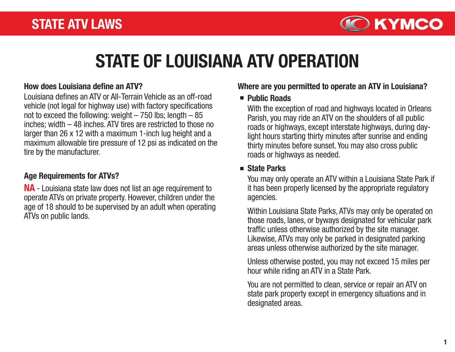

# STATE OF LOUISIANA ATV OPERATION

#### How does Louisiana define an ATV?

Louisiana defines an ATV or All-Terrain Vehicle as an off-road vehicle (not legal for highway use) with factory specifications not to exceed the following: weight  $-750$  lbs; length  $-85$ inches; width – 48 inches. ATV tires are restricted to those no larger than 26 x 12 with a maximum 1-inch lug height and a maximum allowable tire pressure of 12 psi as indicated on the tire by the manufacturer.

### Age Requirements for ATVs?

NA - Louisiana state law does not list an age requirement to operate ATVs on private property. However, children under the age of 18 should to be supervised by an adult when operating ATVs on public lands.

#### Where are you permitted to operate an ATV in Louisiana?

#### **Public Roads**

With the exception of road and highways located in Orleans Parish, you may ride an ATV on the shoulders of all public roads or highways, except interstate highways, during daylight hours starting thirty minutes after sunrise and ending thirty minutes before sunset. You may also cross public roads or highways as needed.

### ■ State Parks

You may only operate an ATV within a Louisiana State Park if it has been properly licensed by the appropriate regulatory agencies.

Within Louisiana State Parks, ATVs may only be operated on those roads, lanes, or byways designated for vehicular park traffic unless otherwise authorized by the site manager. Likewise, ATVs may only be parked in designated parking areas unless otherwise authorized by the site manager.

Unless otherwise posted, you may not exceed 15 miles per hour while riding an ATV in a State Park.

You are not permitted to clean, service or repair an ATV on state park property except in emergency situations and in designated areas.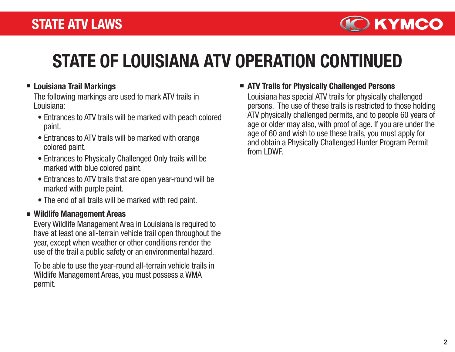

# STATE OF LOUISIANA ATV OPERATION CONTINUED

### **E** Louisiana Trail Markings

The following markings are used to mark ATV trails in Louisiana:

- Entrances to ATV trails will be marked with peach colored paint.
- Entrances to ATV trails will be marked with orange colored paint.
- Entrances to Physically Challenged Only trails will be marked with blue colored paint.
- Entrances to ATV trails that are open year-round will be marked with purple paint.
- The end of all trails will be marked with red paint.

#### Wildlife Management Areas

Every Wildlife Management Area in Louisiana is required to have at least one all-terrain vehicle trail open throughout the year, except when weather or other conditions render the use of the trail a public safety or an environmental hazard.

To be able to use the year-round all-terrain vehicle trails in Wildlife Management Areas, you must possess a WMA permit.

#### ■ ATV Trails for Physically Challenged Persons

Louisiana has special ATV trails for physically challenged persons. The use of these trails is restricted to those holding ATV physically challenged permits, and to people 60 years of age or older may also, with proof of age. If you are under the age of 60 and wish to use these trails, you must apply for and obtain a Physically Challenged Hunter Program Permit from LDWF.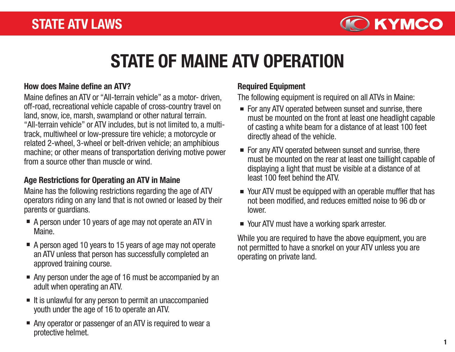

# STATE OF MAINE ATV OPERATION

#### How does Maine define an ATV?

Maine defines an ATV or "All-terrain vehicle" as a motor- driven, off-road, recreational vehicle capable of cross-country travel on land, snow, ice, marsh, swampland or other natural terrain. "All-terrain vehicle" or ATV includes, but is not limited to, a multitrack, multiwheel or low-pressure tire vehicle; a motorcycle or related 2-wheel, 3-wheel or belt-driven vehicle; an amphibious machine; or other means of transportation deriving motive power from a source other than muscle or wind.

### Age Restrictions for Operating an ATV in Maine

Maine has the following restrictions regarding the age of ATV operators riding on any land that is not owned or leased by their parents or guardians.

- A person under 10 years of age may not operate an ATV in Maine.
- A person aged 10 years to 15 years of age may not operate an ATV unless that person has successfully completed an approved training course.
- Any person under the age of 16 must be accompanied by an adult when operating an ATV.
- $\blacksquare$  It is unlawful for any person to permit an unaccompanied youth under the age of 16 to operate an ATV.
- Any operator or passenger of an ATV is required to wear a protective helmet.

### Required Equipment

The following equipment is required on all ATVs in Maine:

- $\blacksquare$  For any ATV operated between sunset and sunrise, there must be mounted on the front at least one headlight capable of casting a white beam for a distance of at least 100 feet directly ahead of the vehicle.
- For any ATV operated between sunset and sunrise, there must be mounted on the rear at least one taillight capable of displaying a light that must be visible at a distance of at least 100 feet behind the ATV.
- Your ATV must be equipped with an operable muffler that has not been modified, and reduces emitted noise to 96 db or lower.
- Your ATV must have a working spark arrester.

While you are required to have the above equipment, you are not permitted to have a snorkel on your ATV unless you are operating on private land.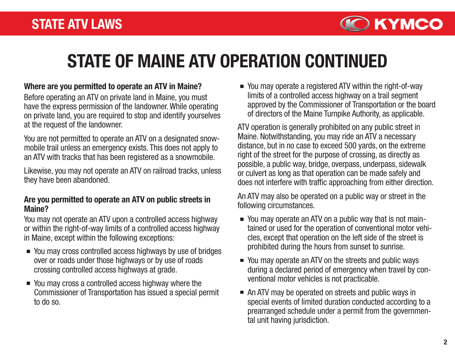

# STATE OF MAINE ATV OPERATION CONTINUED

#### Where are you permitted to operate an ATV in Maine?

Before operating an ATV on private land in Maine, you must have the express permission of the landowner. While operating on private land, you are required to stop and identify yourselves at the request of the landowner.

You are not permitted to operate an ATV on a designated snowmobile trail unless an emergency exists. This does not apply to an ATV with tracks that has been registered as a snowmobile.

Likewise, you may not operate an ATV on railroad tracks, unless they have been abandoned.

#### Are you permitted to operate an ATV on public streets in Maine?

You may not operate an ATV upon a controlled access highway or within the right-of-way limits of a controlled access highway in Maine, except within the following exceptions:

- You may cross controlled access highways by use of bridges over or roads under those highways or by use of roads crossing controlled access highways at grade.
- You may cross a controlled access highway where the Commissioner of Transportation has issued a special permit to do so.

You may operate a registered ATV within the right-of-way limits of a controlled access highway on a trail segment approved by the Commissioner of Transportation or the board of directors of the Maine Turnpike Authority, as applicable.

ATV operation is generally prohibited on any public street in Maine. Notwithstanding, you may ride an ATV a necessary distance, but in no case to exceed 500 yards, on the extreme right of the street for the purpose of crossing, as directly as possible, a public way, bridge, overpass, underpass, sidewalk or culvert as long as that operation can be made safely and does not interfere with traffic approaching from either direction.

An ATV may also be operated on a public way or street in the following circumstances.

- You may operate an ATV on a public way that is not maintained or used for the operation of conventional motor vehicles, except that operation on the left side of the street is prohibited during the hours from sunset to sunrise.
- You may operate an ATV on the streets and public ways during a declared period of emergency when travel by conventional motor vehicles is not practicable.
- An ATV may be operated on streets and public ways in special events of limited duration conducted according to a prearranged schedule under a permit from the governmental unit having jurisdiction.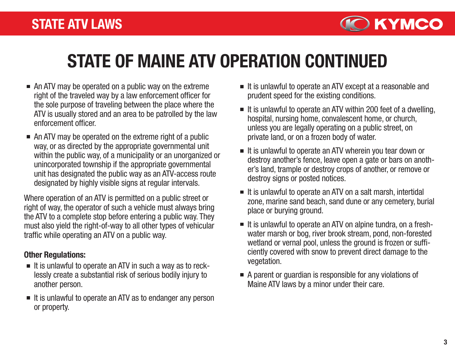

# STATE OF MAINE ATV OPERATION CONTINUED

- An ATV may be operated on a public way on the extreme right of the traveled way by a law enforcement officer for the sole purpose of traveling between the place where the ATV is usually stored and an area to be patrolled by the law enforcement officer.
- An ATV may be operated on the extreme right of a public way, or as directed by the appropriate governmental unit within the public way, of a municipality or an unorganized or unincorporated township if the appropriate governmental unit has designated the public way as an ATV-access route designated by highly visible signs at regular intervals.

Where operation of an ATV is permitted on a public street or right of way, the operator of such a vehicle must always bring the ATV to a complete stop before entering a public way. They must also yield the right-of-way to all other types of vehicular traffic while operating an ATV on a public way.

#### Other Regulations:

- $\blacksquare$  It is unlawful to operate an ATV in such a way as to recklessly create a substantial risk of serious bodily injury to another person.
- $\blacksquare$  It is unlawful to operate an ATV as to endanger any person or property.
- $\blacksquare$  It is unlawful to operate an ATV except at a reasonable and prudent speed for the existing conditions.
- It is unlawful to operate an ATV within 200 feet of a dwelling, hospital, nursing home, convalescent home, or church, unless you are legally operating on a public street, on private land, or on a frozen body of water.
- $\blacksquare$  It is unlawful to operate an ATV wherein you tear down or destroy another's fence, leave open a gate or bars on another's land, trample or destroy crops of another, or remove or destroy signs or posted notices.
- $\blacksquare$  It is unlawful to operate an ATV on a salt marsh, intertidal zone, marine sand beach, sand dune or any cemetery, burial place or burying ground.
- $\blacksquare$  It is unlawful to operate an ATV on alpine tundra, on a freshwater marsh or bog, river brook stream, pond, non-forested wetland or vernal pool, unless the ground is frozen or sufficiently covered with snow to prevent direct damage to the vegetation.
- A parent or guardian is responsible for any violations of Maine ATV laws by a minor under their care.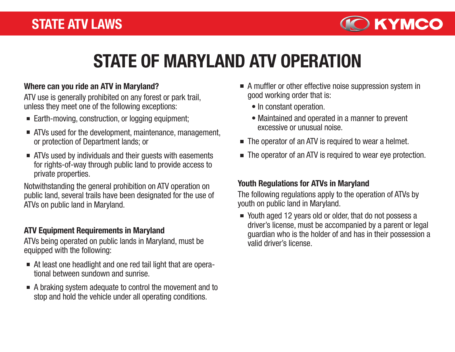

# STATE OF MARYLAND ATV OPERATION

#### Where can you ride an ATV in Maryland?

ATV use is generally prohibited on any forest or park trail, unless they meet one of the following exceptions:

- Earth-moving, construction, or logging equipment;
- ATVs used for the development, maintenance, management, or protection of Department lands; or
- ATVs used by individuals and their guests with easements for rights-of-way through public land to provide access to private properties.

Notwithstanding the general prohibition on ATV operation on public land, several trails have been designated for the use of ATVs on public land in Maryland.

#### ATV Equipment Requirements in Maryland

ATVs being operated on public lands in Maryland, must be equipped with the following:

- At least one headlight and one red tail light that are operational between sundown and sunrise.
- A braking system adequate to control the movement and to stop and hold the vehicle under all operating conditions.
- A muffler or other effective noise suppression system in good working order that is:
	- In constant operation.
	- Maintained and operated in a manner to prevent excessive or unusual noise.
- The operator of an ATV is required to wear a helmet.
- The operator of an ATV is required to wear eye protection.

#### Youth Regulations for ATVs in Maryland

The following regulations apply to the operation of ATVs by youth on public land in Maryland.

■ Youth aged 12 years old or older, that do not possess a driver's license, must be accompanied by a parent or legal guardian who is the holder of and has in their possession a valid driver's license.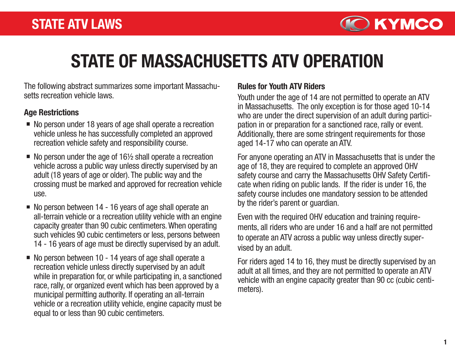

# STATE OF MASSACHUSETTS ATV OPERATION

The following abstract summarizes some important Massachusetts recreation vehicle laws.

#### Age Restrictions

- No person under 18 years of age shall operate a recreation vehicle unless he has successfully completed an approved recreation vehicle safety and responsibility course.
- $\blacksquare$  No person under the age of 16 $\frac{1}{2}$  shall operate a recreation vehicle across a public way unless directly supervised by an adult (18 years of age or older). The public way and the crossing must be marked and approved for recreation vehicle use.
- No person between 14 16 years of age shall operate an all-terrain vehicle or a recreation utility vehicle with an engine capacity greater than 90 cubic centimeters. When operating such vehicles 90 cubic centimeters or less, persons between 14 - 16 years of age must be directly supervised by an adult.
- $\blacksquare$  No person between 10 14 years of age shall operate a recreation vehicle unless directly supervised by an adult while in preparation for, or while participating in, a sanctioned race, rally, or organized event which has been approved by a municipal permitting authority. If operating an all-terrain vehicle or a recreation utility vehicle, engine capacity must be equal to or less than 90 cubic centimeters.

### Rules for Youth ATV Riders

Youth under the age of 14 are not permitted to operate an ATV in Massachusetts. The only exception is for those aged 10-14 who are under the direct supervision of an adult during participation in or preparation for a sanctioned race, rally or event. Additionally, there are some stringent requirements for those aged 14-17 who can operate an ATV.

For anyone operating an ATV in Massachusetts that is under the age of 18, they are required to complete an approved OHV safety course and carry the Massachusetts OHV Safety Certificate when riding on public lands. If the rider is under 16, the safety course includes one mandatory session to be attended by the rider's parent or guardian.

Even with the required OHV education and training requirements, all riders who are under 16 and a half are not permitted to operate an ATV across a public way unless directly supervised by an adult.

For riders aged 14 to 16, they must be directly supervised by an adult at all times, and they are not permitted to operate an ATV vehicle with an engine capacity greater than 90 cc (cubic centimeters).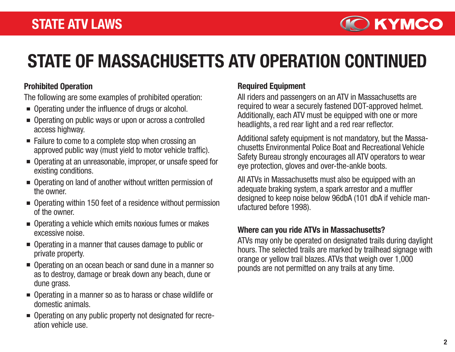

# STATE OF MASSACHUSETTS ATV OPERATION CONTINUED

### Prohibited Operation

The following are some examples of prohibited operation:

- Operating under the influence of drugs or alcohol.
- Operating on public ways or upon or across a controlled access highway.
- Failure to come to a complete stop when crossing an approved public way (must yield to motor vehicle traffic).
- Operating at an unreasonable, improper, or unsafe speed for existing conditions.
- Operating on land of another without written permission of the owner.
- Operating within 150 feet of a residence without permission of the owner.
- Operating a vehicle which emits noxious fumes or makes excessive noise.
- Operating in a manner that causes damage to public or private property.
- Operating on an ocean beach or sand dune in a manner so as to destroy, damage or break down any beach, dune or dune grass.
- Operating in a manner so as to harass or chase wildlife or domestic animals.
- Operating on any public property not designated for recreation vehicle use.

### Required Equipment

All riders and passengers on an ATV in Massachusetts are required to wear a securely fastened DOT-approved helmet. Additionally, each ATV must be equipped with one or more headlights, a red rear light and a red rear reflector.

Additional safety equipment is not mandatory, but the Massachusetts Environmental Police Boat and Recreational Vehicle Safety Bureau strongly encourages all ATV operators to wear eye protection, gloves and over-the-ankle boots.

All ATVs in Massachusetts must also be equipped with an adequate braking system, a spark arrestor and a muffler designed to keep noise below 96dbA (101 dbA if vehicle manufactured before 1998).

### Where can you ride ATVs in Massachusetts?

ATVs may only be operated on designated trails during daylight hours. The selected trails are marked by trailhead signage with orange or yellow trail blazes. ATVs that weigh over 1,000 pounds are not permitted on any trails at any time.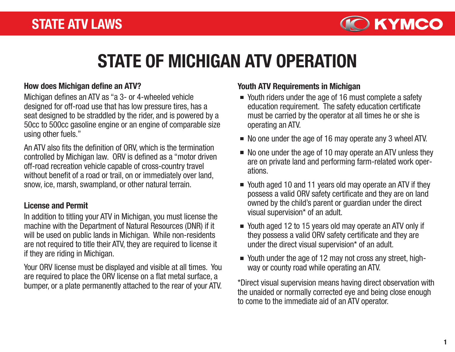

# STATE OF MICHIGAN ATV OPERATION

#### How does Michigan define an ATV?

Michigan defines an ATV as "a 3- or 4-wheeled vehicle designed for off-road use that has low pressure tires, has a seat designed to be straddled by the rider, and is powered by a 50cc to 500cc gasoline engine or an engine of comparable size using other fuels."

An ATV also fits the definition of ORV, which is the termination controlled by Michigan law. ORV is defined as a "motor driven off-road recreation vehicle capable of cross-country travel without benefit of a road or trail, on or immediately over land, snow, ice, marsh, swampland, or other natural terrain.

### License and Permit

In addition to titling your ATV in Michigan, you must license the machine with the Department of Natural Resources (DNR) if it will be used on public lands in Michigan. While non-residents are not required to title their ATV, they are required to license it if they are riding in Michigan.

Your ORV license must be displayed and visible at all times. You are required to place the ORV license on a flat metal surface, a bumper, or a plate permanently attached to the rear of your ATV.

### Youth ATV Requirements in Michigan

- Youth riders under the age of 16 must complete a safety education requirement. The safety education certificate must be carried by the operator at all times he or she is operating an ATV.
- No one under the age of 16 may operate any 3 wheel ATV.
- $\blacksquare$  No one under the age of 10 may operate an ATV unless they are on private land and performing farm-related work operations.
- Youth aged 10 and 11 years old may operate an ATV if they possess a valid ORV safety certificate and they are on land owned by the child's parent or guardian under the direct visual supervision\* of an adult.
- Youth aged 12 to 15 years old may operate an ATV only if they possess a valid ORV safety certificate and they are under the direct visual supervision\* of an adult.
- Youth under the age of 12 may not cross any street, highway or county road while operating an ATV.

\*Direct visual supervision means having direct observation with the unaided or normally corrected eye and being close enough to come to the immediate aid of an ATV operator.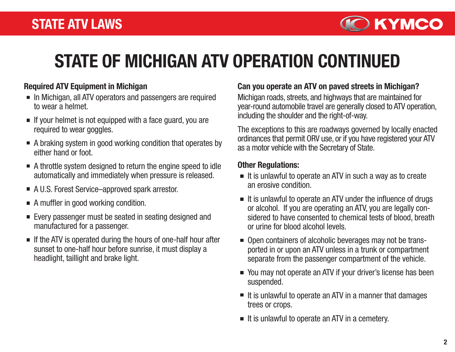

# STATE OF MICHIGAN ATV OPERATION CONTINUED

### Required ATV Equipment in Michigan

- In Michigan, all ATV operators and passengers are required to wear a helmet.
- $\blacksquare$  If your helmet is not equipped with a face quard, you are required to wear goggles.
- A braking system in good working condition that operates by either hand or foot.
- A throttle system designed to return the engine speed to idle automatically and immediately when pressure is released.
- A U.S. Forest Service–approved spark arrestor.
- A muffler in good working condition.
- Every passenger must be seated in seating designed and manufactured for a passenger.
- $\blacksquare$  If the ATV is operated during the hours of one-half hour after sunset to one-half hour before sunrise, it must display a headlight, taillight and brake light.

#### Can you operate an ATV on paved streets in Michigan?

Michigan roads, streets, and highways that are maintained for year-round automobile travel are generally closed to ATV operation, including the shoulder and the right-of-way.

The exceptions to this are roadways governed by locally enacted ordinances that permit ORV use, or if you have registered your ATV as a motor vehicle with the Secretary of State.

#### Other Regulations:

- $\blacksquare$  It is unlawful to operate an ATV in such a way as to create an erosive condition.
- $\blacksquare$  It is unlawful to operate an ATV under the influence of drugs or alcohol. If you are operating an ATV, you are legally considered to have consented to chemical tests of blood, breath or urine for blood alcohol levels.
- Open containers of alcoholic beverages may not be transported in or upon an ATV unless in a trunk or compartment separate from the passenger compartment of the vehicle.
- You may not operate an ATV if your driver's license has been suspended.
- $\blacksquare$  It is unlawful to operate an ATV in a manner that damages trees or crops.
- $\blacksquare$  It is unlawful to operate an ATV in a cemetery.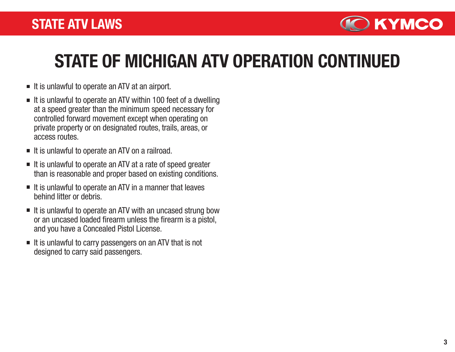

# STATE OF MICHIGAN ATV OPERATION CONTINUED

- $\blacksquare$  It is unlawful to operate an ATV at an airport.
- $\blacksquare$  It is unlawful to operate an ATV within 100 feet of a dwelling at a speed greater than the minimum speed necessary for controlled forward movement except when operating on private property or on designated routes, trails, areas, or access routes.
- $\blacksquare$  It is unlawful to operate an ATV on a railroad.
- $\blacksquare$  It is unlawful to operate an ATV at a rate of speed greater than is reasonable and proper based on existing conditions.
- $\blacksquare$  It is unlawful to operate an ATV in a manner that leaves behind litter or debris.
- $\blacksquare$  It is unlawful to operate an ATV with an uncased strung bow or an uncased loaded firearm unless the firearm is a pistol, and you have a Concealed Pistol License.
- $\blacksquare$  It is unlawful to carry passengers on an ATV that is not designed to carry said passengers.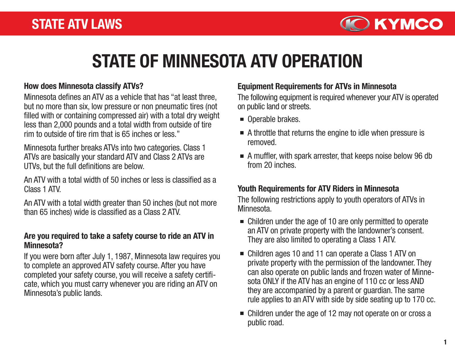

# STATE OF MINNESOTA ATV OPERATION

#### How does Minnesota classify ATVs?

Minnesota defines an ATV as a vehicle that has "at least three, but no more than six, low pressure or non pneumatic tires (not filled with or containing compressed air) with a total dry weight less than 2,000 pounds and a total width from outside of tire rim to outside of tire rim that is 65 inches or less."

Minnesota further breaks ATVs into two categories. Class 1 ATVs are basically your standard ATV and Class 2 ATVs are UTVs, but the full definitions are below.

An ATV with a total width of 50 inches or less is classified as a Class 1 ATV.

An ATV with a total width greater than 50 inches (but not more than 65 inches) wide is classified as a Class 2 ATV.

#### Are you required to take a safety course to ride an ATV in Minnesota?

If you were born after July 1, 1987, Minnesota law requires you to complete an approved ATV safety course. After you have completed your safety course, you will receive a safety certificate, which you must carry whenever you are riding an ATV on Minnesota's public lands.

#### Equipment Requirements for ATVs in Minnesota

The following equipment is required whenever your ATV is operated on public land or streets.

- Operable brakes.
- A throttle that returns the engine to idle when pressure is removed.
- A muffler, with spark arrester, that keeps noise below 96 db from 20 inches.

### Youth Requirements for ATV Riders in Minnesota

The following restrictions apply to youth operators of ATVs in Minnesota.

- Children under the age of 10 are only permitted to operate an ATV on private property with the landowner's consent. They are also limited to operating a Class 1 ATV.
- Children ages 10 and 11 can operate a Class 1 ATV on private property with the permission of the landowner. They can also operate on public lands and frozen water of Minnesota ONLY if the ATV has an engine of 110 cc or less AND they are accompanied by a parent or guardian. The same rule applies to an ATV with side by side seating up to 170 cc.
- Children under the age of 12 may not operate on or cross a public road.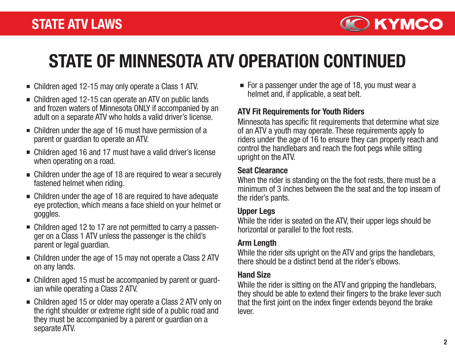

# STATE OF MINNESOTA ATV OPERATION CONTINUED

- Children aged 12-15 may only operate a Class 1 ATV.
- Children aged 12-15 can operate an ATV on public lands and frozen waters of Minnesota ONLY if accompanied by an adult on a separate ATV who holds a valid driver's license.
- Children under the age of 16 must have permission of a parent or guardian to operate an ATV.
- Children aged 16 and 17 must have a valid driver's license when operating on a road.
- Children under the age of 18 are required to wear a securely fastened helmet when riding.
- Children under the age of 18 are required to have adequate eye protection, which means a face shield on your helmet or goggles.
- Children aged 12 to 17 are not permitted to carry a passenger on a Class 1 ATV unless the passenger is the child's parent or legal guardian.
- Children under the age of 15 may not operate a Class 2 ATV on any lands.
- Children aged 15 must be accompanied by parent or guardian while operating a Class 2 ATV.
- Children aged 15 or older may operate a Class 2 ATV only on the right shoulder or extreme right side of a public road and they must be accompanied by a parent or guardian on a separate ATV.

For a passenger under the age of 18, you must wear a helmet and, if applicable, a seat belt.

### ATV Fit Requirements for Youth Riders

Minnesota has specific fit requirements that determine what size of an ATV a youth may operate. These requirements apply to riders under the age of 16 to ensure they can properly reach and control the handlebars and reach the foot pegs while sitting upright on the ATV.

#### Seat Clearance

When the rider is standing on the the foot rests, there must be a minimum of 3 inches between the the seat and the top inseam of the rider's pants.

### Upper Legs

While the rider is seated on the ATV, their upper legs should be horizontal or parallel to the foot rests.

### Arm Length

While the rider sits upright on the ATV and grips the handlebars, there should be a distinct bend at the rider's elbows.

### Hand Size

While the rider is sitting on the ATV and gripping the handlebars, they should be able to extend their fingers to the brake lever such that the first joint on the index finger extends beyond the brake lever.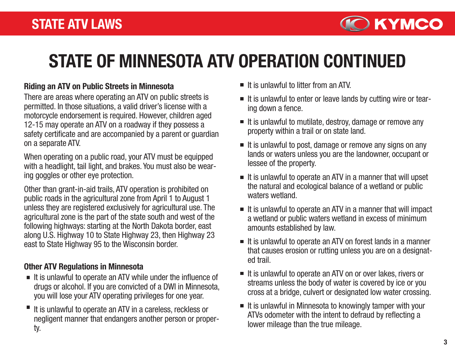

# STATE OF MINNESOTA ATV OPERATION CONTINUED

#### Riding an ATV on Public Streets in Minnesota

There are areas where operating an ATV on public streets is permitted. In those situations, a valid driver's license with a motorcycle endorsement is required. However, children aged 12-15 may operate an ATV on a roadway if they possess a safety certificate and are accompanied by a parent or guardian on a separate ATV.

When operating on a public road, your ATV must be equipped with a headlight, tail light, and brakes. You must also be wearing goggles or other eye protection.

Other than grant-in-aid trails, ATV operation is prohibited on public roads in the agricultural zone from April 1 to August 1 unless they are registered exclusively for agricultural use. The agricultural zone is the part of the state south and west of the following highways: starting at the North Dakota border, east along U.S. Highway 10 to State Highway 23, then Highway 23 east to State Highway 95 to the Wisconsin border.

### Other ATV Regulations in Minnesota

- $\blacksquare$  It is unlawful to operate an ATV while under the influence of drugs or alcohol. If you are convicted of a DWI in Minnesota, you will lose your ATV operating privileges for one year.
- It is unlawful to operate an ATV in a careless, reckless or negligent manner that endangers another person or property.
- $\blacksquare$  It is unlawful to litter from an ATV.
- It is unlawful to enter or leave lands by cutting wire or tearing down a fence.
- $\blacksquare$  It is unlawful to mutilate, destroy, damage or remove any property within a trail or on state land.
- $\blacksquare$  It is unlawful to post, damage or remove any signs on any lands or waters unless you are the landowner, occupant or lessee of the property.
- $\blacksquare$  It is unlawful to operate an ATV in a manner that will upset the natural and ecological balance of a wetland or public waters wetland
- $\blacksquare$  It is unlawful to operate an ATV in a manner that will impact a wetland or public waters wetland in excess of minimum amounts established by law.
- $\blacksquare$  It is unlawful to operate an ATV on forest lands in a manner that causes erosion or rutting unless you are on a designated trail.
- $\blacksquare$  It is unlawful to operate an ATV on or over lakes, rivers or streams unless the body of water is covered by ice or you cross at a bridge, culvert or designated low water crossing.
- $\blacksquare$  It is unlawful in Minnesota to knowingly tamper with your ATVs odometer with the intent to defraud by reflecting a lower mileage than the true mileage.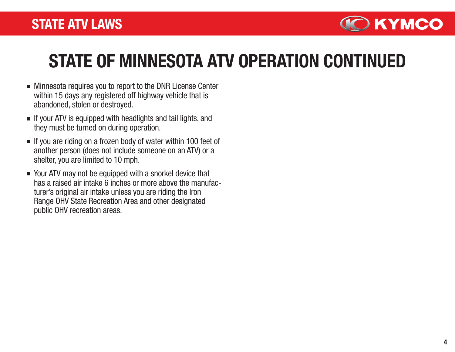

# STATE OF MINNESOTA ATV OPERATION CONTINUED

- Minnesota requires you to report to the DNR License Center within 15 days any registered off highway vehicle that is abandoned, stolen or destroyed.
- $\blacksquare$  If your ATV is equipped with headlights and tail lights, and they must be turned on during operation.
- $\blacksquare$  If you are riding on a frozen body of water within 100 feet of another person (does not include someone on an ATV) or a shelter, you are limited to 10 mph.
- Your ATV may not be equipped with a snorkel device that has a raised air intake 6 inches or more above the manufacturer's original air intake unless you are riding the Iron Range OHV State Recreation Area and other designated public OHV recreation areas.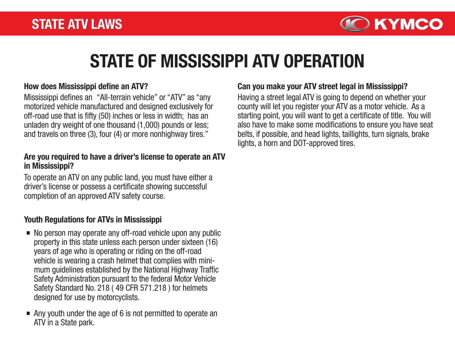

# STATE OF MISSISSIPPI ATV OPERATION

#### How does Mississippi define an ATV?

Mississippi defines an "All-terrain vehicle" or "ATV" as "any motorized vehicle manufactured and designed exclusively for off-road use that is fifty (50) inches or less in width; has an unladen dry weight of one thousand (1,000) pounds or less; and travels on three (3), four (4) or more nonhighway tires."

#### Are you required to have a driver's license to operate an ATV in Mississippi?

To operate an ATV on any public land, you must have either a driver's license or possess a certificate showing successful completion of an approved ATV safety course.

### Youth Regulations for ATVs in Mississippi

- No person may operate any off-road vehicle upon any public property in this state unless each person under sixteen (16) years of age who is operating or riding on the off-road vehicle is wearing a crash helmet that complies with minimum guidelines established by the National Highway Traffic Safety Administration pursuant to the federal Motor Vehicle Safety Standard No. 218 ( 49 CFR 571.218 ) for helmets designed for use by motorcyclists.
- Any youth under the age of 6 is not permitted to operate an ATV in a State park.

#### Can you make your ATV street legal in Mississippi?

Having a street legal ATV is going to depend on whether your county will let you register your ATV as a motor vehicle. As a starting point, you will want to get a certificate of title. You will also have to make some modifications to ensure you have seat belts, if possible, and head lights, taillights, turn signals, brake lights, a horn and DOT-approved tires.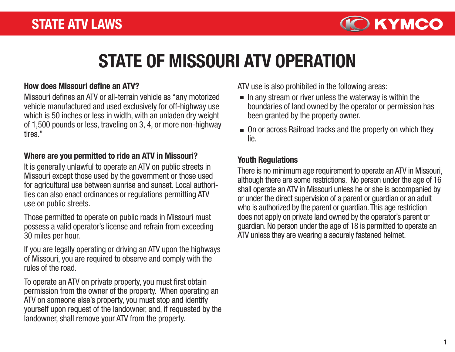

# STATE OF MISSOURI ATV OPERATION

#### How does Missouri define an ATV?

Missouri defines an ATV or all-terrain vehicle as "any motorized vehicle manufactured and used exclusively for off-highway use which is 50 inches or less in width, with an unladen dry weight of 1,500 pounds or less, traveling on 3, 4, or more non-highway tires."

#### Where are you permitted to ride an ATV in Missouri?

It is generally unlawful to operate an ATV on public streets in Missouri except those used by the government or those used for agricultural use between sunrise and sunset. Local authorities can also enact ordinances or regulations permitting ATV use on public streets.

Those permitted to operate on public roads in Missouri must possess a valid operator's license and refrain from exceeding 30 miles per hour.

If you are legally operating or driving an ATV upon the highways of Missouri, you are required to observe and comply with the rules of the road.

To operate an ATV on private property, you must first obtain permission from the owner of the property. When operating an ATV on someone else's property, you must stop and identify yourself upon request of the landowner, and, if requested by the landowner, shall remove your ATV from the property.

ATV use is also prohibited in the following areas:

- $\blacksquare$  In any stream or river unless the waterway is within the boundaries of land owned by the operator or permission has been granted by the property owner.
- $\blacksquare$  On or across Railroad tracks and the property on which they lie.

#### Youth Regulations

There is no minimum age requirement to operate an ATV in Missouri, although there are some restrictions. No person under the age of 16 shall operate an ATV in Missouri unless he or she is accompanied by or under the direct supervision of a parent or guardian or an adult who is authorized by the parent or guardian. This age restriction does not apply on private land owned by the operator's parent or guardian. No person under the age of 18 is permitted to operate an ATV unless they are wearing a securely fastened helmet.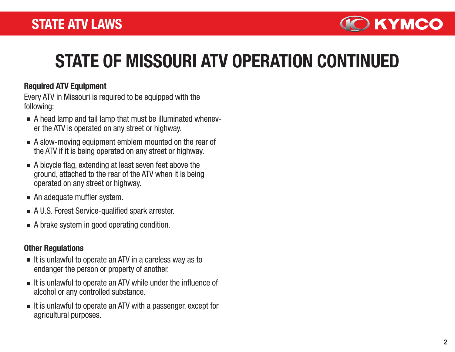

# STATE OF MISSOURI ATV OPERATION CONTINUED

### Required ATV Equipment

Every ATV in Missouri is required to be equipped with the following:

- A head lamp and tail lamp that must be illuminated whenever the ATV is operated on any street or highway.
- A slow-moving equipment emblem mounted on the rear of the ATV if it is being operated on any street or highway.
- A bicycle flag, extending at least seven feet above the ground, attached to the rear of the ATV when it is being operated on any street or highway.
- An adequate muffler system.
- A U.S. Forest Service-qualified spark arrester.
- A brake system in good operating condition.

### Other Regulations

- $\blacksquare$  It is unlawful to operate an ATV in a careless way as to endanger the person or property of another.
- $\blacksquare$  It is unlawful to operate an ATV while under the influence of alcohol or any controlled substance.
- $\blacksquare$  It is unlawful to operate an ATV with a passenger, except for agricultural purposes.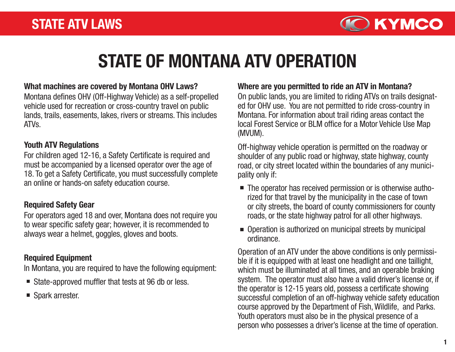

# STATE OF MONTANA ATV OPERATION

#### What machines are covered by Montana OHV Laws?

Montana defines OHV (Off-Highway Vehicle) as a self-propelled vehicle used for recreation or cross-country travel on public lands, trails, easements, lakes, rivers or streams. This includes ATVs.

#### Youth ATV Regulations

For children aged 12-16, a Safety Certificate is required and must be accompanied by a licensed operator over the age of 18. To get a Safety Certificate, you must successfully complete an online or hands-on safety education course.

### Required Safety Gear

For operators aged 18 and over, Montana does not require you to wear specific safety gear; however, it is recommended to always wear a helmet, goggles, gloves and boots.

### Required Equipment

In Montana, you are required to have the following equipment:

- State-approved muffler that tests at 96 db or less.
- Spark arrester.

#### Where are you permitted to ride an ATV in Montana?

On public lands, you are limited to riding ATVs on trails designated for OHV use. You are not permitted to ride cross-country in Montana. For information about trail riding areas contact the local Forest Service or BLM office for a Motor Vehicle Use Map (MVUM).

Off-highway vehicle operation is permitted on the roadway or shoulder of any public road or highway, state highway, county road, or city street located within the boundaries of any municipality only if:

- The operator has received permission or is otherwise authorized for that travel by the municipality in the case of town or city streets, the board of county commissioners for county roads, or the state highway patrol for all other highways.
- Operation is authorized on municipal streets by municipal ordinance.

Operation of an ATV under the above conditions is only permissible if it is equipped with at least one headlight and one taillight, which must be illuminated at all times, and an operable braking system. The operator must also have a valid driver's license or, if the operator is 12-15 years old, possess a certificate showing successful completion of an off-highway vehicle safety education course approved by the Department of Fish, Wildlife, and Parks. Youth operators must also be in the physical presence of a person who possesses a driver's license at the time of operation.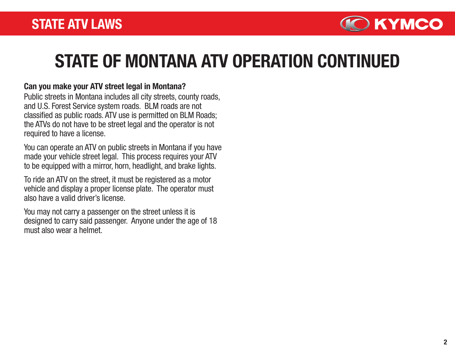

# STATE OF MONTANA ATV OPERATION CONTINUED

#### Can you make your ATV street legal in Montana?

Public streets in Montana includes all city streets, county roads, and U.S. Forest Service system roads. BLM roads are not classified as public roads. ATV use is permitted on BLM Roads; the ATVs do not have to be street legal and the operator is not required to have a license.

You can operate an ATV on public streets in Montana if you have made your vehicle street legal. This process requires your ATV to be equipped with a mirror, horn, headlight, and brake lights.

To ride an ATV on the street, it must be registered as a motor vehicle and display a proper license plate. The operator must also have a valid driver's license.

You may not carry a passenger on the street unless it is designed to carry said passenger. Anyone under the age of 18 must also wear a helmet.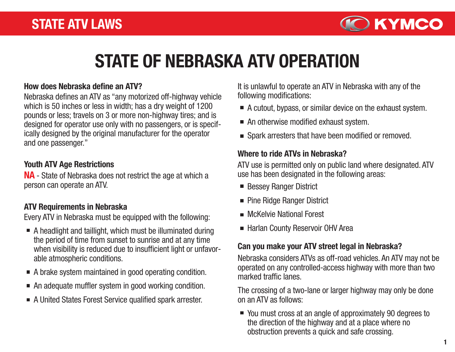

# STATE OF NEBRASKA ATV OPERATION

#### How does Nebraska define an ATV?

Nebraska defines an ATV as "any motorized off-highway vehicle which is 50 inches or less in width; has a dry weight of 1200 pounds or less; travels on 3 or more non-highway tires; and is designed for operator use only with no passengers, or is specifically designed by the original manufacturer for the operator and one passenger."

#### Youth ATV Age Restrictions

NA - State of Nebraska does not restrict the age at which a person can operate an ATV.

## ATV Requirements in Nebraska

Every ATV in Nebraska must be equipped with the following:

- A headlight and taillight, which must be illuminated during the period of time from sunset to sunrise and at any time when visibility is reduced due to insufficient light or unfavorable atmospheric conditions.
- A brake system maintained in good operating condition.
- An adequate muffler system in good working condition.
- A United States Forest Service qualified spark arrester.

It is unlawful to operate an ATV in Nebraska with any of the following modifications:

- A cutout, bypass, or similar device on the exhaust system.
- An otherwise modified exhaust system.
- Spark arresters that have been modified or removed.

### Where to ride ATVs in Nebraska?

ATV use is permitted only on public land where designated. ATV use has been designated in the following areas:

- Bessey Ranger District
- Pine Ridge Ranger District
- **McKelvie National Forest**
- Harlan County Reservoir OHV Area

### Can you make your ATV street legal in Nebraska?

Nebraska considers ATVs as off-road vehicles. An ATV may not be operated on any controlled-access highway with more than two marked traffic lanes.

The crossing of a two-lane or larger highway may only be done on an ATV as follows:

■ You must cross at an angle of approximately 90 degrees to the direction of the highway and at a place where no obstruction prevents a quick and safe crossing.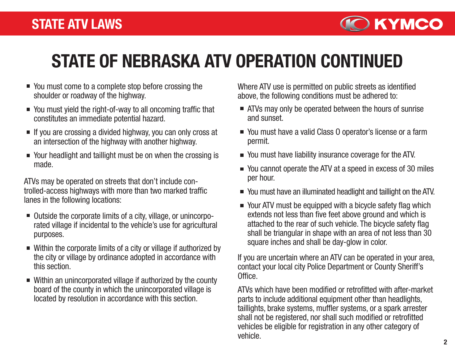

# STATE OF NEBRASKA ATV OPERATION CONTINUED

- You must come to a complete stop before crossing the shoulder or roadway of the highway.
- You must yield the right-of-way to all oncoming traffic that constitutes an immediate potential hazard.
- $\blacksquare$  If you are crossing a divided highway, you can only cross at an intersection of the highway with another highway.
- Your headlight and taillight must be on when the crossing is made.

ATVs may be operated on streets that don't include controlled-access highways with more than two marked traffic lanes in the following locations:

- Outside the corporate limits of a city, village, or unincorporated village if incidental to the vehicle's use for agricultural purposes.
- Within the corporate limits of a city or village if authorized by the city or village by ordinance adopted in accordance with this section.
- Within an unincorporated village if authorized by the county board of the county in which the unincorporated village is located by resolution in accordance with this section.

Where ATV use is permitted on public streets as identified above, the following conditions must be adhered to:

- ATVs may only be operated between the hours of sunrise and sunset.
- You must have a valid Class 0 operator's license or a farm permit.
- You must have liability insurance coverage for the ATV.
- You cannot operate the ATV at a speed in excess of 30 miles per hour.
- You must have an illuminated headlight and taillight on the ATV.
- Your ATV must be equipped with a bicycle safety flag which extends not less than five feet above ground and which is attached to the rear of such vehicle. The bicycle safety flag shall be triangular in shape with an area of not less than 30 square inches and shall be day-glow in color.

If you are uncertain where an ATV can be operated in your area, contact your local city Police Department or County Sheriff's Office.

ATVs which have been modified or retrofitted with after-market parts to include additional equipment other than headlights, taillights, brake systems, muffler systems, or a spark arrester shall not be registered, nor shall such modified or retrofitted vehicles be eligible for registration in any other category of vehicle.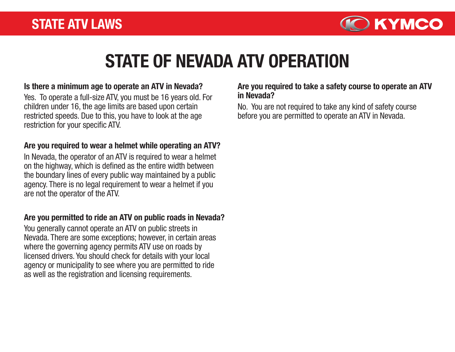

# STATE OF NEVADA ATV OPERATION

#### Is there a minimum age to operate an ATV in Nevada?

Yes. To operate a full-size ATV, you must be 16 years old. For **in Nevada?** children under 16, the age limits are based upon certain restricted speeds. Due to this, you have to look at the age restriction for your specific ATV.

#### Are you required to wear a helmet while operating an ATV?

In Nevada, the operator of an ATV is required to wear a helmet on the highway, which is defined as the entire width between the boundary lines of every public way maintained by a public agency. There is no legal requirement to wear a helmet if you are not the operator of the ATV.

#### Are you permitted to ride an ATV on public roads in Nevada?

You generally cannot operate an ATV on public streets in Nevada. There are some exceptions; however, in certain areas where the governing agency permits ATV use on roads by licensed drivers. You should check for details with your local agency or municipality to see where you are permitted to ride as well as the registration and licensing requirements.

# Are you required to take a safety course to operate an ATV

No. You are not required to take any kind of safety course before you are permitted to operate an ATV in Nevada.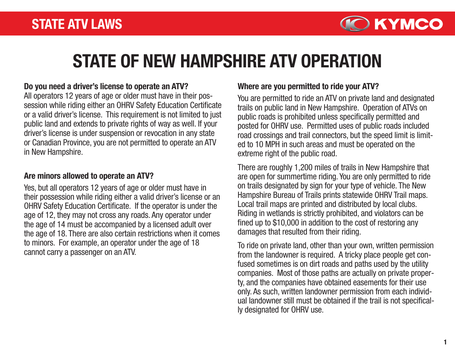

# STATE OF NEW HAMPSHIRE ATV OPERATION

#### Do you need a driver's license to operate an ATV?

All operators 12 years of age or older must have in their possession while riding either an OHRV Safety Education Certificate or a valid driver's license. This requirement is not limited to just public land and extends to private rights of way as well. If your driver's license is under suspension or revocation in any state or Canadian Province, you are not permitted to operate an ATV in New Hampshire.

#### Are minors allowed to operate an ATV?

Yes, but all operators 12 years of age or older must have in their possession while riding either a valid driver's license or an OHRV Safety Education Certificate. If the operator is under the age of 12, they may not cross any roads. Any operator under the age of 14 must be accompanied by a licensed adult over the age of 18. There are also certain restrictions when it comes to minors. For example, an operator under the age of 18 cannot carry a passenger on an ATV.

#### Where are you permitted to ride your ATV?

You are permitted to ride an ATV on private land and designated trails on public land in New Hampshire. Operation of ATVs on public roads is prohibited unless specifically permitted and posted for OHRV use. Permitted uses of public roads included road crossings and trail connectors, but the speed limit is limited to 10 MPH in such areas and must be operated on the extreme right of the public road.

There are roughly 1,200 miles of trails in New Hampshire that are open for summertime riding. You are only permitted to ride on trails designated by sign for your type of vehicle. The New Hampshire Bureau of Trails prints statewide OHRV Trail maps. Local trail maps are printed and distributed by local clubs. Riding in wetlands is strictly prohibited, and violators can be fined up to \$10,000 in addition to the cost of restoring any damages that resulted from their riding.

To ride on private land, other than your own, written permission from the landowner is required. A tricky place people get confused sometimes is on dirt roads and paths used by the utility companies. Most of those paths are actually on private property, and the companies have obtained easements for their use only. As such, written landowner permission from each individual landowner still must be obtained if the trail is not specifically designated for OHRV use.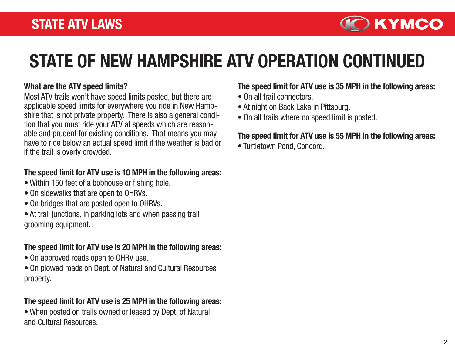

# STATE OF NEW HAMPSHIRE ATV OPERATION CONTINUED

#### What are the ATV speed limits?

Most ATV trails won't have speed limits posted, but there are applicable speed limits for everywhere you ride in New Hampshire that is not private property. There is also a general condition that you must ride your ATV at speeds which are reasonable and prudent for existing conditions. That means you may have to ride below an actual speed limit if the weather is bad or if the trail is overly crowded.

### The speed limit for ATV use is 10 MPH in the following areas:

- Within 150 feet of a bobhouse or fishing hole.
- On sidewalks that are open to OHRVs.
- On bridges that are posted open to OHRVs.
- At trail junctions, in parking lots and when passing trail grooming equipment.

## The speed limit for ATV use is 20 MPH in the following areas:

- On approved roads open to OHRV use.
- On plowed roads on Dept. of Natural and Cultural Resources property.

# The speed limit for ATV use is 25 MPH in the following areas:

• When posted on trails owned or leased by Dept. of Natural and Cultural Resources.

## The speed limit for ATV use is 35 MPH in the following areas:

- On all trail connectors.
- At night on Back Lake in Pittsburg.
- On all trails where no speed limit is posted.

### The speed limit for ATV use is 55 MPH in the following areas:

• Turtletown Pond, Concord.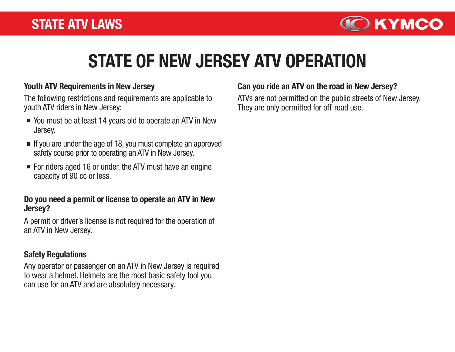

# STATE OF NEW JERSEY ATV OPERATION

#### Youth ATV Requirements in New Jersey

The following restrictions and requirements are applicable to youth ATV riders in New Jersey:

- You must be at least 14 years old to operate an ATV in New Jersey.
- $\blacksquare$  If you are under the age of 18, you must complete an approved safety course prior to operating an ATV in New Jersey.
- For riders aged 16 or under, the ATV must have an engine capacity of 90 cc or less.

#### Do you need a permit or license to operate an ATV in New Jersey?

A permit or driver's license is not required for the operation of an ATV in New Jersey.

### Safety Regulations

Any operator or passenger on an ATV in New Jersey is required to wear a helmet. Helmets are the most basic safety tool you can use for an ATV and are absolutely necessary.

### Can you ride an ATV on the road in New Jersey?

ATVs are not permitted on the public streets of New Jersey. They are only permitted for off-road use.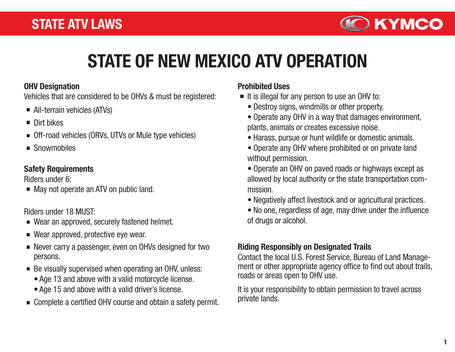

# STATE OF NEW MEXICO ATV OPERATION

#### OHV Designation

Vehicles that are considered to be OHVs & must be registered:

- All-terrain vehicles (ATVs)
- Dirt bikes
- Off-road vehicles (ORVs, UTVs or Mule type vehicles)
- Snowmobiles

## Safety Requirements

Riders under 6:

May not operate an ATV on public land.

Riders under 18 MUST:

- Wear an approved, securely fastened helmet.
- Wear approved, protective eye wear.
- Never carry a passenger, even on OHVs designed for two persons.
- Be visually supervised when operating an OHV, unless:
	- Age 13 and above with a valid motorcycle license.
	- Age 15 and above with a valid driver's license.
- Complete a certified OHV course and obtain a safety permit.

# Prohibited Uses

- $\blacksquare$  It is illegal for any person to use an OHV to:
	- Destroy signs, windmills or other property.
	- Operate any OHV in a way that damages environment, plants, animals or creates excessive noise.
	- Harass, pursue or hunt wildlife or domestic animals.
	- Operate any OHV where prohibited or on private land without permission.
	- Operate an OHV on paved roads or highways except as allowed by local authority or the state transportation commission.
	- Negatively affect livestock and or agricultural practices.
	- No one, regardless of age, may drive under the influence of drugs or alcohol.

# Riding Responsibly on Designated Trails

Contact the local U.S. Forest Service, Bureau of Land Management or other appropriate agency office to find out about trails, roads or areas open to OHV use.

It is your responsibility to obtain permission to travel across private lands.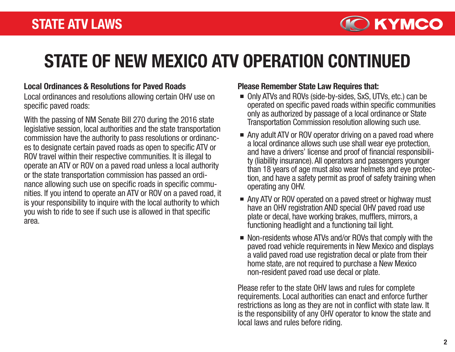

# STATE OF NEW MEXICO ATV OPERATION CONTINUED

#### Local Ordinances & Resolutions for Paved Roads Please Remember State Law Requires that:

Local ordinances and resolutions allowing certain OHV use on specific paved roads:

With the passing of NM Senate Bill 270 during the 2016 state legislative session, local authorities and the state transportation commission have the authority to pass resolutions or ordinances to designate certain paved roads as open to specific ATV or ROV travel within their respective communities. It is illegal to operate an ATV or ROV on a paved road unless a local authority or the state transportation commission has passed an ordinance allowing such use on specific roads in specific communities. If you intend to operate an ATV or ROV on a paved road, it is your responsibility to inquire with the local authority to which you wish to ride to see if such use is allowed in that specific area.

- Only ATVs and ROVs (side-by-sides, SxS, UTVs, etc.) can be operated on specific paved roads within specific communities only as authorized by passage of a local ordinance or State Transportation Commission resolution allowing such use.
- Any adult ATV or ROV operator driving on a paved road where a local ordinance allows such use shall wear eye protection, and have a drivers' license and proof of financial responsibili ty (liability insurance). All operators and passengers younger than 18 years of age must also wear helmets and eye protection, and have a safety permit as proof of safety training when operating any OHV.
- Any ATV or ROV operated on a paved street or highway must have an OHV registration AND special OHV paved road use plate or decal, have working brakes, mufflers, mirrors, a functioning headlight and a functioning tail light.
- Non-residents whose ATVs and/or ROVs that comply with the paved road vehicle requirements in New Mexico and displays a valid paved road use registration decal or plate from their home state, are not required to purchase a New Mexico non-resident paved road use decal or plate.

Please refer to the state OHV laws and rules for complete requirements. Local authorities can enact and enforce further restrictions as long as they are not in conflict with state law. It is the responsibility of any OHV operator to know the state and local laws and rules before riding.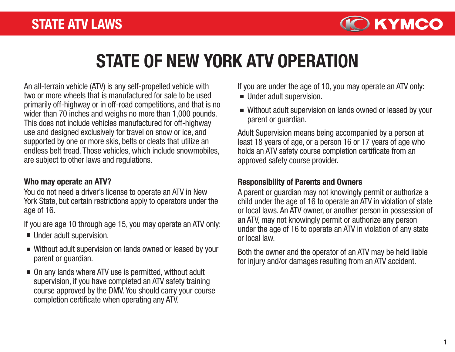

# STATE OF NEW YORK ATV OPERATION

An all-terrain vehicle (ATV) is any self-propelled vehicle with two or more wheels that is manufactured for sale to be used primarily off-highway or in off-road competitions, and that is no wider than 70 inches and weighs no more than 1,000 pounds. This does not include vehicles manufactured for off-highway use and designed exclusively for travel on snow or ice, and supported by one or more skis, belts or cleats that utilize an endless belt tread. Those vehicles, which include snowmobiles, are subject to other laws and regulations.

### Who may operate an ATV?

You do not need a driver's license to operate an ATV in New York State, but certain restrictions apply to operators under the age of 16.

If you are age 10 through age 15, you may operate an ATV only:

- Under adult supervision.
- Without adult supervision on lands owned or leased by your parent or guardian.
- On any lands where ATV use is permitted, without adult supervision, if you have completed an ATV safety training course approved by the DMV. You should carry your course completion certificate when operating any ATV.

If you are under the age of 10, you may operate an ATV only:

- Under adult supervision.
- Without adult supervision on lands owned or leased by your parent or guardian.

Adult Supervision means being accompanied by a person at least 18 years of age, or a person 16 or 17 years of age who holds an ATV safety course completion certificate from an approved safety course provider.

## Responsibility of Parents and Owners

A parent or guardian may not knowingly permit or authorize a child under the age of 16 to operate an ATV in violation of state or local laws. An ATV owner, or another person in possession of an ATV, may not knowingly permit or authorize any person under the age of 16 to operate an ATV in violation of any state or local law.

Both the owner and the operator of an ATV may be held liable for injury and/or damages resulting from an ATV accident.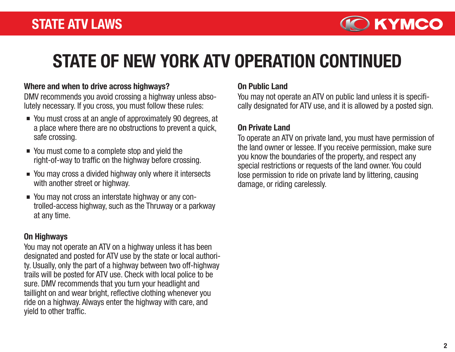

# STATE OF NEW YORK ATV OPERATION CONTINUED

#### Where and when to drive across highways?

DMV recommends you avoid crossing a highway unless absolutely necessary. If you cross, you must follow these rules:

- You must cross at an angle of approximately 90 degrees, at a place where there are no obstructions to prevent a quick, safe crossing.
- You must come to a complete stop and yield the right-of-way to traffic on the highway before crossing.
- You may cross a divided highway only where it intersects with another street or highway.
- You may not cross an interstate highway or any controlled-access highway, such as the Thruway or a parkway at any time.

#### On Highways

You may not operate an ATV on a highway unless it has been designated and posted for ATV use by the state or local authority. Usually, only the part of a highway between two off-highway trails will be posted for ATV use. Check with local police to be sure. DMV recommends that you turn your headlight and taillight on and wear bright, reflective clothing whenever you ride on a highway. Always enter the highway with care, and yield to other traffic.

#### On Public Land

You may not operate an ATV on public land unless it is specifically designated for ATV use, and it is allowed by a posted sign.

### On Private Land

To operate an ATV on private land, you must have permission of the land owner or lessee. If you receive permission, make sure you know the boundaries of the property, and respect any special restrictions or requests of the land owner. You could lose permission to ride on private land by littering, causing damage, or riding carelessly.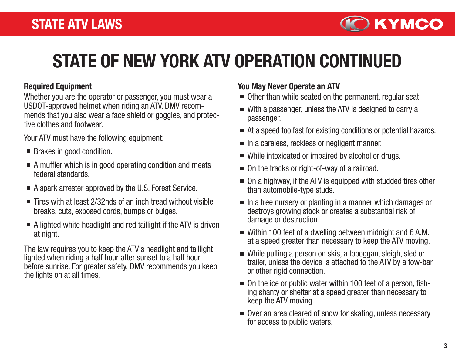

# STATE OF NEW YORK ATV OPERATION CONTINUED

Whether you are the operator or passenger, you must wear a USDOT-approved helmet when riding an ATV. DMV recommends that you also wear a face shield or goggles, and protective clothes and footwear.

Your ATV must have the following equipment:

- Brakes in good condition.
- A muffler which is in good operating condition and meets federal standards.
- A spark arrester approved by the U.S. Forest Service.
- Tires with at least 2/32nds of an inch tread without visible breaks, cuts, exposed cords, bumps or bulges.
- $\blacksquare$  A lighted white headlight and red taillight if the ATV is driven at night.

The law requires you to keep the ATV's headlight and taillight lighted when riding a half hour after sunset to a half hour before sunrise. For greater safety, DMV recommends you keep the lights on at all times.

#### Required Equipment **Required Equipment** At  $\sim$  You May Never Operate an ATV

- Other than while seated on the permanent, regular seat.
- With a passenger, unless the ATV is designed to carry a passenger.
- At a speed too fast for existing conditions or potential hazards.
- In a careless, reckless or negligent manner.
- While intoxicated or impaired by alcohol or drugs.
- On the tracks or right-of-way of a railroad.
- On a highway, if the ATV is equipped with studded tires other than automobile-type studs.
- $\blacksquare$  In a tree nursery or planting in a manner which damages or destroys growing stock or creates a substantial risk of damage or destruction.
- Within 100 feet of a dwelling between midnight and 6 A.M. at a speed greater than necessary to keep the ATV moving.
- While pulling a person on skis, a toboggan, sleigh, sled or trailer, unless the device is attached to the ATV by a tow-bar or other rigid connection.
- On the ice or public water within 100 feet of a person, fishing shanty or shelter at a speed greater than necessary to keep the ATV moving.
- Over an area cleared of snow for skating, unless necessary for access to public waters.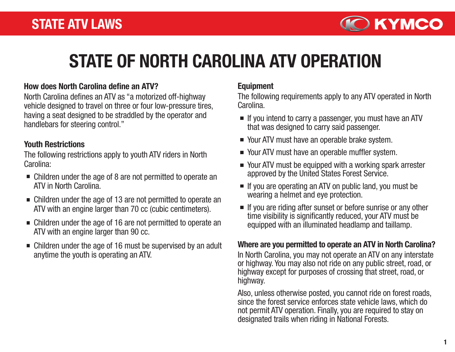

# STATE OF NORTH CAROLINA ATV OPERATION

#### How does North Carolina define an ATV?

North Carolina defines an ATV as "a motorized off-highway vehicle designed to travel on three or four low-pressure tires, having a seat designed to be straddled by the operator and handlebars for steering control."

#### Youth Restrictions

The following restrictions apply to youth ATV riders in North Carolina:

- Children under the age of 8 are not permitted to operate an ATV in North Carolina.
- Children under the age of 13 are not permitted to operate an ATV with an engine larger than 70 cc (cubic centimeters).
- Children under the age of 16 are not permitted to operate an ATV with an engine larger than 90 cc.
- Children under the age of 16 must be supervised by an adult anytime the youth is operating an ATV.

### Equipment

The following requirements apply to any ATV operated in North Carolina.

- If you intend to carry a passenger, you must have an ATV that was designed to carry said passenger.
- Your ATV must have an operable brake system.
- Your ATV must have an operable muffler system.
- Your ATV must be equipped with a working spark arrester approved by the United States Forest Service.
- $\blacksquare$  If you are operating an ATV on public land, you must be wearing a helmet and eye protection.
- If you are riding after sunset or before sunrise or any other time visibility is significantly reduced, your ATV must be equipped with an illuminated headlamp and taillamp.

### Where are you permitted to operate an ATV in North Carolina?

In North Carolina, you may not operate an ATV on any interstate or highway. You may also not ride on any public street, road, or highway except for purposes of crossing that street, road, or highway.

Also, unless otherwise posted, you cannot ride on forest roads, since the forest service enforces state vehicle laws, which do not permit ATV operation. Finally, you are required to stay on designated trails when riding in National Forests.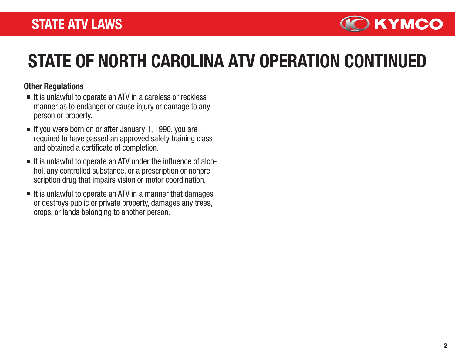

# STATE OF NORTH CAROLINA ATV OPERATION CONTINUED

### Other Regulations

- $\blacksquare$  It is unlawful to operate an ATV in a careless or reckless manner as to endanger or cause injury or damage to any person or property.
- $\blacksquare$  If you were born on or after January 1, 1990, you are required to have passed an approved safety training class and obtained a certificate of completion.
- It is unlawful to operate an ATV under the influence of alcohol, any controlled substance, or a prescription or nonprescription drug that impairs vision or motor coordination.
- $\blacksquare$  It is unlawful to operate an ATV in a manner that damages or destroys public or private property, damages any trees, crops, or lands belonging to another person.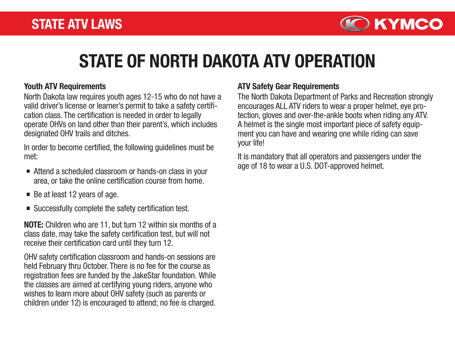

# STATE OF NORTH DAKOTA ATV OPERATION

North Dakota law requires youth ages 12-15 who do not have a valid driver's license or learner's permit to take a safety certification class. The certification is needed in order to legally operate OHVs on land other than their parent's, which includes designated OHV trails and ditches.

In order to become certified, the following guidelines must be met:

- Attend a scheduled classroom or hands-on class in your age of 18 to wear a U.S. DOT-approved helmet. area, or take the online certification course from home.
- $\blacksquare$  Be at least 12 years of age.
- Successfully complete the safety certification test.

NOTE: Children who are 11, but turn 12 within six months of a class date, may take the safety certification test, but will not receive their certification card until they turn 12.

OHV safety certification classroom and hands-on sessions are held February thru October. There is no fee for the course as registration fees are funded by the JakeStar foundation. While the classes are aimed at certifying young riders, anyone who wishes to learn more about OHV safety (such as parents or children under 12) is encouraged to attend; no fee is charged.

### Youth ATV Requirements ATV Safety Gear Requirements

The North Dakota Department of Parks and Recreation strongly encourages ALL ATV riders to wear a proper helmet, eye protection, gloves and over-the-ankle boots when riding any ATV. A helmet is the single most important piece of safety equipment you can have and wearing one while riding can save your life!

It is mandatory that all operators and passengers under the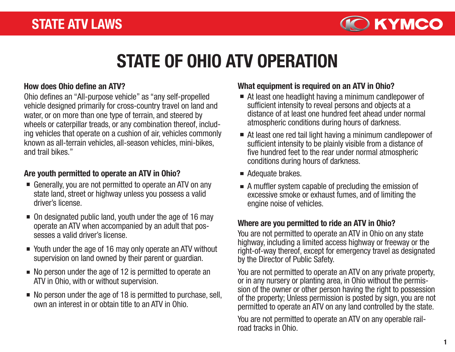

# STATE OF OHIO ATV OPERATION

Ohio defines an "All-purpose vehicle" as "any self-propelled vehicle designed primarily for cross-country travel on land and water, or on more than one type of terrain, and steered by wheels or caterpillar treads, or any combination thereof, including vehicles that operate on a cushion of air, vehicles commonly known as all-terrain vehicles, all-season vehicles, mini-bikes, and trail bikes."

### Are youth permitted to operate an ATV in Ohio?

- Generally, you are not permitted to operate an ATV on any state land, street or highway unless you possess a valid driver's license.
- On designated public land, youth under the age of 16 may operate an ATV when accompanied by an adult that possesses a valid driver's license.
- Youth under the age of 16 may only operate an ATV without supervision on land owned by their parent or guardian.
- No person under the age of 12 is permitted to operate an ATV in Ohio, with or without supervision.
- $\blacksquare$  No person under the age of 18 is permitted to purchase, sell, own an interest in or obtain title to an ATV in Ohio.

## How does Ohio define an ATV? What equipment is required on an ATV in Ohio?

- At least one headlight having a minimum candlepower of sufficient intensity to reveal persons and objects at a distance of at least one hundred feet ahead under normal atmospheric conditions during hours of darkness.
- At least one red tail light having a minimum candlepower of sufficient intensity to be plainly visible from a distance of five hundred feet to the rear under normal atmospheric conditions during hours of darkness.
- Adequate brakes.
- A muffler system capable of precluding the emission of excessive smoke or exhaust fumes, and of limiting the engine noise of vehicles.

## Where are you permitted to ride an ATV in Ohio?

You are not permitted to operate an ATV in Ohio on any state highway, including a limited access highway or freeway or the right-of-way thereof, except for emergency travel as designated by the Director of Public Safety.

You are not permitted to operate an ATV on any private property, or in any nursery or planting area, in Ohio without the permission of the owner or other person having the right to possession of the property; Unless permission is posted by sign, you are not permitted to operate an ATV on any land controlled by the state.

You are not permitted to operate an ATV on any operable railroad tracks in Ohio.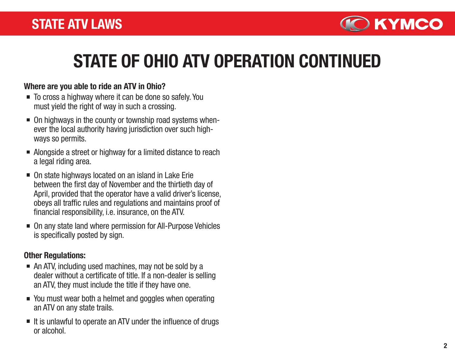

# STATE OF OHIO ATV OPERATION CONTINUED

### Where are you able to ride an ATV in Ohio?

- To cross a highway where it can be done so safely. You must yield the right of way in such a crossing.
- On highways in the county or township road systems whenever the local authority having jurisdiction over such highways so permits.
- Alongside a street or highway for a limited distance to reach a legal riding area.
- On state highways located on an island in Lake Erie between the first day of November and the thirtieth day of April, provided that the operator have a valid driver's license, obeys all traffic rules and regulations and maintains proof of financial responsibility, i.e. insurance, on the ATV.
- On any state land where permission for All-Purpose Vehicles is specifically posted by sign.

### Other Regulations:

- An ATV, including used machines, may not be sold by a dealer without a certificate of title. If a non-dealer is selling an ATV, they must include the title if they have one.
- You must wear both a helmet and goggles when operating an ATV on any state trails.
- $\blacksquare$  It is unlawful to operate an ATV under the influence of drugs or alcohol.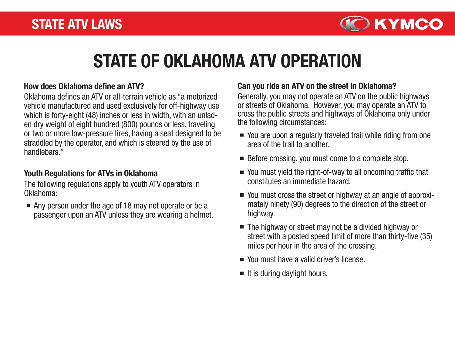

# STATE OF OKLAHOMA ATV OPERATION

### How does Oklahoma define an ATV?

Oklahoma defines an ATV or all-terrain vehicle as "a motorized vehicle manufactured and used exclusively for off-highway use which is forty-eight (48) inches or less in width, with an unladen dry weight of eight hundred (800) pounds or less, traveling or two or more low-pressure tires, having a seat designed to be straddled by the operator, and which is steered by the use of handlebars."

### Youth Regulations for ATVs in Oklahoma

The following regulations apply to youth ATV operators in Oklahoma:

Any person under the age of 18 may not operate or be a passenger upon an ATV unless they are wearing a helmet.

### Can you ride an ATV on the street in Oklahoma?

Generally, you may not operate an ATV on the public highways or streets of Oklahoma. However, you may operate an ATV to cross the public streets and highways of Oklahoma only under the following circumstances:

- You are upon a regularly traveled trail while riding from one area of the trail to another.
- Before crossing, you must come to a complete stop.
- You must yield the right-of-way to all oncoming traffic that constitutes an immediate hazard.
- You must cross the street or highway at an angle of approximately ninety (90) degrees to the direction of the street or highway.
- The highway or street may not be a divided highway or street with a posted speed limit of more than thirty-five (35) miles per hour in the area of the crossing.
- You must have a valid driver's license.
- $\blacksquare$  It is during daylight hours.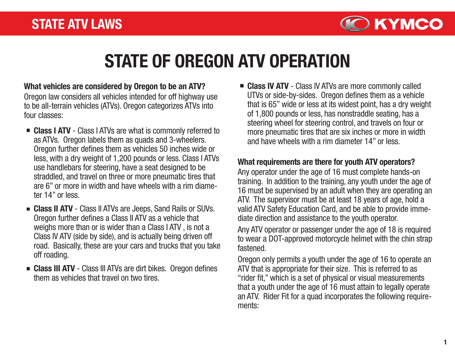

# STATE OF OREGON ATV OPERATION

Oregon law considers all vehicles intended for off highway use to be all-terrain vehicles (ATVs). Oregon categorizes ATVs into four classes: What vehicles are considered by Oregon to be an ATV?

- Class I ATV Class I ATVs are what is commonly referred to as ATVs. Oregon labels them as quads and 3-wheelers. Oregon further defines them as vehicles 50 inches wide or less, with a dry weight of 1,200 pounds or less. Class I ATVs use handlebars for steering, have a seat designed to be straddled, and travel on three or more pneumatic tires that are 6" or more in width and have wheels with a rim diameter 14" or less.
- **Example 2 II ATV** Class II ATVs are Jeeps, Sand Rails or SUVs. Oregon further defines a Class II ATV as a vehicle that weighs more than or is wider than a Class I ATV , is not a Class IV ATV (side by side), and is actually being driven off road. Basically, these are your cars and trucks that you take off roading.
- **Example 2 Class III ATV** Class III ATVs are dirt bikes. Oregon defines them as vehicles that travel on two tires.

■ Class IV ATV - Class IV ATVs are more commonly called UTVs or side-by-sides. Oregon defines them as a vehicle that is 65" wide or less at its widest point, has a dry weight of 1,800 pounds or less, has nonstraddle seating, has a steering wheel for steering control, and travels on four or more pneumatic tires that are six inches or more in width and have wheels with a rim diameter 14" or less.

## What requirements are there for youth ATV operators?

Any operator under the age of 16 must complete hands-on training. In addition to the training, any youth under the age of 16 must be supervised by an adult when they are operating an ATV. The supervisor must be at least 18 years of age, hold a valid ATV Safety Education Card, and be able to provide immediate direction and assistance to the youth operator.

Any ATV operator or passenger under the age of 18 is required to wear a DOT-approved motorcycle helmet with the chin strap fastened.

Oregon only permits a youth under the age of 16 to operate an ATV that is appropriate for their size. This is referred to as "rider fit," which is a set of physical or visual measurements that a youth under the age of 16 must attain to legally operate an ATV. Rider Fit for a quad incorporates the following requirements: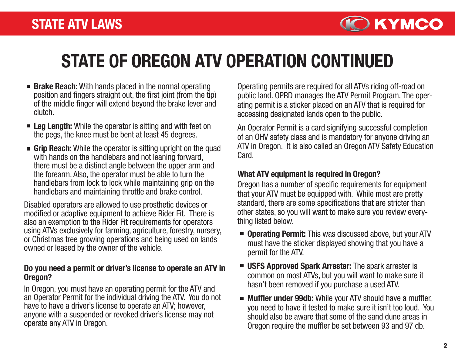

# STATE OF OREGON ATV OPERATION CONTINUED

- **Brake Reach:** With hands placed in the normal operating position and fingers straight out, the first joint (from the tip) of the middle finger will extend beyond the brake lever and clutch.
- **Example 2 Leg Length:** While the operator is sitting and with feet on the pegs, the knee must be bent at least 45 degrees.
- **Grip Reach:** While the operator is sitting upright on the quad with hands on the handlebars and not leaning forward. there must be a distinct angle between the upper arm and the forearm. Also, the operator must be able to turn the handlebars from lock to lock while maintaining grip on the handlebars and maintaining throttle and brake control.

Disabled operators are allowed to use prosthetic devices or modified or adaptive equipment to achieve Rider Fit. There is also an exemption to the Rider Fit requirements for operators using ATVs exclusively for farming, agriculture, forestry, nursery, or Christmas tree growing operations and being used on lands owned or leased by the owner of the vehicle.

#### Do you need a permit or driver's license to operate an ATV in Oregon?

In Oregon, you must have an operating permit for the ATV and an Operator Permit for the individual driving the ATV. You do not have to have a driver's license to operate an ATV; however, anyone with a suspended or revoked driver's license may not operate any ATV in Oregon.

Operating permits are required for all ATVs riding off-road on public land. OPRD manages the ATV Permit Program. The operating permit is a sticker placed on an ATV that is required for accessing designated lands open to the public.

An Operator Permit is a card signifying successful completion of an OHV safety class and is mandatory for anyone driving an ATV in Oregon. It is also called an Oregon ATV Safety Education Card.

#### What ATV equipment is required in Oregon?

Oregon has a number of specific requirements for equipment that your ATV must be equipped with. While most are pretty standard, there are some specifications that are stricter than other states, so you will want to make sure you review everything listed below.

- **Derating Permit:** This was discussed above, but your ATV must have the sticker displayed showing that you have a permit for the ATV.
- **USFS Approved Spark Arrester:** The spark arrester is common on most ATVs, but you will want to make sure it hasn't been removed if you purchase a used ATV.
- **Muffler under 99db:** While your ATV should have a muffler, you need to have it tested to make sure it isn't too loud. You should also be aware that some of the sand dune areas in Oregon require the muffler be set between 93 and 97 db.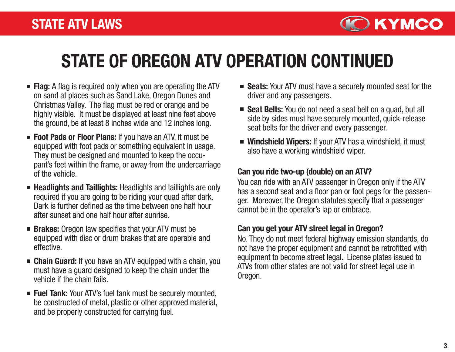

# STATE OF OREGON ATV OPERATION CONTINUED

- **Flag:** A flag is required only when you are operating the ATV on sand at places such as Sand Lake, Oregon Dunes and Christmas Valley. The flag must be red or orange and be highly visible. It must be displayed at least nine feet above the ground, be at least 8 inches wide and 12 inches long.
- Foot Pads or Floor Plans: If you have an ATV, it must be equipped with foot pads or something equivalent in usage. They must be designed and mounted to keep the occupant's feet within the frame, or away from the undercarriage of the vehicle.
- **Headlights and Taillights:** Headlights and taillights are only required if you are going to be riding your quad after dark. Dark is further defined as the time between one half hour after sunset and one half hour after sunrise.
- **Brakes:** Oregon law specifies that your ATV must be equipped with disc or drum brakes that are operable and effective.
- **Example 2 Chain Guard:** If you have an ATV equipped with a chain, you must have a guard designed to keep the chain under the vehicle if the chain fails.
- **Fuel Tank:** Your ATV's fuel tank must be securely mounted, be constructed of metal, plastic or other approved material, and be properly constructed for carrying fuel.
- Seats: Your ATV must have a securely mounted seat for the driver and any passengers.
- Seat Belts: You do not need a seat belt on a quad, but all side by sides must have securely mounted, quick-release seat belts for the driver and every passenger.
- Windshield Wipers: If your ATV has a windshield, it must also have a working windshield wiper.

### Can you ride two-up (double) on an ATV?

You can ride with an ATV passenger in Oregon only if the ATV has a second seat and a floor pan or foot pegs for the passenger. Moreover, the Oregon statutes specify that a passenger cannot be in the operator's lap or embrace.

## Can you get your ATV street legal in Oregon?

No. They do not meet federal highway emission standards, do not have the proper equipment and cannot be retrofitted with equipment to become street legal. License plates issued to ATVs from other states are not valid for street legal use in Oregon.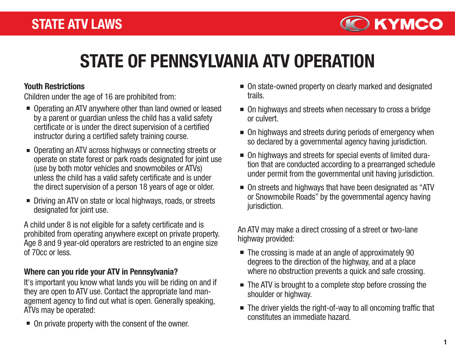

# STATE OF PENNSYLVANIA ATV OPERATION

#### Youth Restrictions

Children under the age of 16 are prohibited from:

- Operating an ATV anywhere other than land owned or leased by a parent or guardian unless the child has a valid safety certificate or is under the direct supervision of a certified instructor during a certified safety training course.
- Operating an ATV across highways or connecting streets or operate on state forest or park roads designated for joint use (use by both motor vehicles and snowmobiles or ATVs) unless the child has a valid safety certificate and is under the direct supervision of a person 18 years of age or older.
- Driving an ATV on state or local highways, roads, or streets designated for joint use.

A child under 8 is not eligible for a safety certificate and is prohibited from operating anywhere except on private property. Age 8 and 9 year-old operators are restricted to an engine size of 70cc or less.

### Where can you ride your ATV in Pennsylvania?

It's important you know what lands you will be riding on and if they are open to ATV use. Contact the appropriate land management agency to find out what is open. Generally speaking, ATVs may be operated:

■ On private property with the consent of the owner.

- On state-owned property on clearly marked and designated trails.
- On highways and streets when necessary to cross a bridge or culvert.
- $\blacksquare$  On highways and streets during periods of emergency when so declared by a governmental agency having jurisdiction.
- On highways and streets for special events of limited duration that are conducted according to a prearranged schedule under permit from the governmental unit having jurisdiction.
- On streets and highways that have been designated as "ATV or Snowmobile Roads" by the governmental agency having jurisdiction.

An ATV may make a direct crossing of a street or two-lane highway provided:

- The crossing is made at an angle of approximately 90 degrees to the direction of the highway, and at a place where no obstruction prevents a quick and safe crossing.
- The ATV is brought to a complete stop before crossing the shoulder or highway.
- The driver yields the right-of-way to all oncoming traffic that constitutes an immediate hazard.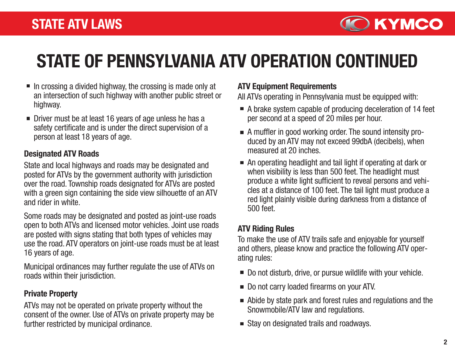

# STATE OF PENNSYLVANIA ATV OPERATION CONTINUED

- $\blacksquare$  In crossing a divided highway, the crossing is made only at an intersection of such highway with another public street or highway.
- Driver must be at least 16 years of age unless he has a safety certificate and is under the direct supervision of a person at least 18 years of age.

#### Designated ATV Roads

State and local highways and roads may be designated and posted for ATVs by the government authority with jurisdiction over the road. Township roads designated for ATVs are posted with a green sign containing the side view silhouette of an ATV and rider in white.

Some roads may be designated and posted as joint-use roads open to both ATVs and licensed motor vehicles. Joint use roads are posted with signs stating that both types of vehicles may use the road. ATV operators on joint-use roads must be at least 16 years of age.

Municipal ordinances may further regulate the use of ATVs on roads within their jurisdiction.

### Private Property

ATVs may not be operated on private property without the consent of the owner. Use of ATVs on private property may be further restricted by municipal ordinance.

#### ATV Equipment Requirements

All ATVs operating in Pennsylvania must be equipped with:

- A brake system capable of producing deceleration of 14 feet per second at a speed of 20 miles per hour.
- A muffler in good working order. The sound intensity produced by an ATV may not exceed 99dbA (decibels), when measured at 20 inches.
- An operating headlight and tail light if operating at dark or when visibility is less than 500 feet. The headlight must produce a white light sufficient to reveal persons and vehicles at a distance of 100 feet. The tail light must produce a red light plainly visible during darkness from a distance of 500 feet.

## ATV Riding Rules

To make the use of ATV trails safe and enjoyable for yourself and others, please know and practice the following ATV operating rules:

- Do not disturb, drive, or pursue wildlife with your vehicle.
- Do not carry loaded firearms on your ATV.
- Abide by state park and forest rules and regulations and the Snowmobile/ATV law and regulations.
- Stay on designated trails and roadways.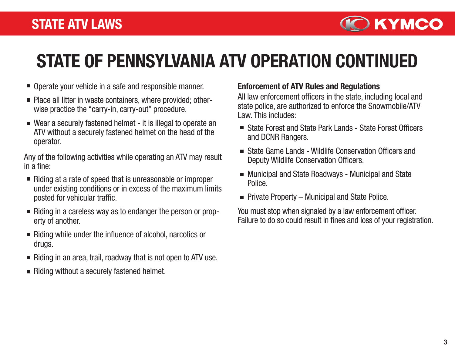

# STATE OF PENNSYLVANIA ATV OPERATION CONTINUED

- Operate your vehicle in a safe and responsible manner.
- Place all litter in waste containers, where provided; otherwise practice the "carry-in, carry-out" procedure.
- Wear a securely fastened helmet it is illegal to operate an ATV without a securely fastened helmet on the head of the operator.

Any of the following activities while operating an ATV may result in a fine:

- Riding at a rate of speed that is unreasonable or improper under existing conditions or in excess of the maximum limits posted for vehicular traffic.
- Riding in a careless way as to endanger the person or property of another.
- Riding while under the influence of alcohol, narcotics or drugs.
- $\blacksquare$  Riding in an area, trail, roadway that is not open to ATV use.
- Riding without a securely fastened helmet.

### Enforcement of ATV Rules and Regulations

All law enforcement officers in the state, including local and state police, are authorized to enforce the Snowmobile/ATV Law. This includes:

- State Forest and State Park Lands State Forest Officers and DCNR Rangers.
- State Game Lands Wildlife Conservation Officers and Deputy Wildlife Conservation Officers.
- Municipal and State Roadways Municipal and State Police.
- $\blacksquare$  Private Property Municipal and State Police.

You must stop when signaled by a law enforcement officer. Failure to do so could result in fines and loss of your registration.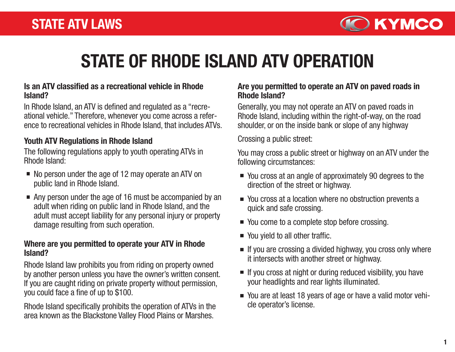

# STATE OF RHODE ISLAND ATV OPERATION

#### Is an ATV classified as a recreational vehicle in Rhode Island?

In Rhode Island, an ATV is defined and regulated as a "recreational vehicle." Therefore, whenever you come across a reference to recreational vehicles in Rhode Island, that includes ATVs.

### Youth ATV Regulations in Rhode Island

The following regulations apply to youth operating ATVs in Rhode Island:

- No person under the age of 12 may operate an ATV on public land in Rhode Island.
- Any person under the age of 16 must be accompanied by an adult when riding on public land in Rhode Island, and the adult must accept liability for any personal injury or property damage resulting from such operation.

#### Where are you permitted to operate your ATV in Rhode Island?

Rhode Island law prohibits you from riding on property owned by another person unless you have the owner's written consent. If you are caught riding on private property without permission, you could face a fine of up to \$100.

Rhode Island specifically prohibits the operation of ATVs in the area known as the Blackstone Valley Flood Plains or Marshes.

#### Are you permitted to operate an ATV on paved roads in Rhode Island?

Generally, you may not operate an ATV on paved roads in Rhode Island, including within the right-of-way, on the road shoulder, or on the inside bank or slope of any highway

Crossing a public street:

You may cross a public street or highway on an ATV under the following circumstances:

- You cross at an angle of approximately 90 degrees to the direction of the street or highway.
- You cross at a location where no obstruction prevents a quick and safe crossing.
- You come to a complete stop before crossing.
- You yield to all other traffic.
- $\blacksquare$  If you are crossing a divided highway, you cross only where it intersects with another street or highway.
- $\blacksquare$  If you cross at night or during reduced visibility, you have your headlights and rear lights illuminated.
- You are at least 18 years of age or have a valid motor vehicle operator's license.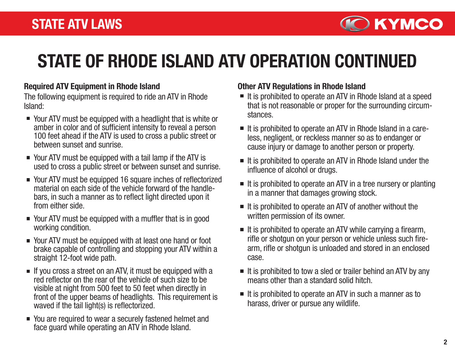

# STATE OF RHODE ISLAND ATV OPERATION CONTINUED

### Required ATV Equipment in Rhode Island

The following equipment is required to ride an ATV in Rhode Island:

- Your ATV must be equipped with a headlight that is white or amber in color and of sufficient intensity to reveal a person 100 feet ahead if the ATV is used to cross a public street or between sunset and sunrise.
- Your ATV must be equipped with a tail lamp if the ATV is used to cross a public street or between sunset and sunrise.
- Your ATV must be equipped 16 square inches of reflectorized material on each side of the vehicle forward of the handlebars, in such a manner as to reflect light directed upon it from either side.
- Your ATV must be equipped with a muffler that is in good working condition.
- Your ATV must be equipped with at least one hand or foot brake capable of controlling and stopping your ATV within a straight 12-foot wide path.
- $\blacksquare$  If you cross a street on an ATV, it must be equipped with a red reflector on the rear of the vehicle of such size to be visible at night from 500 feet to 50 feet when directly in front of the upper beams of headlights. This requirement is waved if the tail light(s) is reflectorized.
- You are required to wear a securely fastened helmet and face guard while operating an ATV in Rhode Island.

## Other ATV Regulations in Rhode Island

- $\blacksquare$  It is prohibited to operate an ATV in Rhode Island at a speed that is not reasonable or proper for the surrounding circumstances.
- It is prohibited to operate an ATV in Rhode Island in a careless, negligent, or reckless manner so as to endanger or cause injury or damage to another person or property.
- $\blacksquare$  It is prohibited to operate an ATV in Rhode Island under the influence of alcohol or drugs.
- $\blacksquare$  It is prohibited to operate an ATV in a tree nursery or planting in a manner that damages growing stock.
- $\blacksquare$  It is prohibited to operate an ATV of another without the written permission of its owner.
- $\blacksquare$  It is prohibited to operate an ATV while carrying a firearm, rifle or shotgun on your person or vehicle unless such firearm, rifle or shotgun is unloaded and stored in an enclosed case.
- $\blacksquare$  It is prohibited to tow a sled or trailer behind an ATV by any means other than a standard solid hitch.
- $\blacksquare$  It is prohibited to operate an ATV in such a manner as to harass, driver or pursue any wildlife.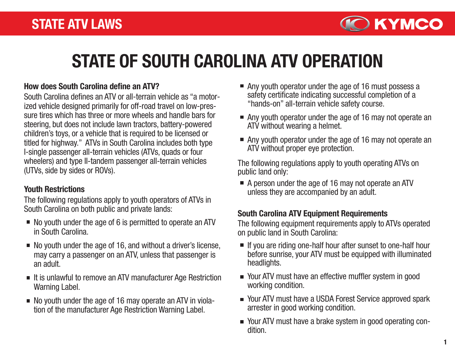

# STATE OF SOUTH CAROLINA ATV OPERATION

#### How does South Carolina define an ATV?

South Carolina defines an ATV or all-terrain vehicle as "a motorized vehicle designed primarily for off-road travel on low-pressure tires which has three or more wheels and handle bars for steering, but does not include lawn tractors, battery-powered children's toys, or a vehicle that is required to be licensed or titled for highway." ATVs in South Carolina includes both type I-single passenger all-terrain vehicles (ATVs, quads or four wheelers) and type II-tandem passenger all-terrain vehicles (UTVs, side by sides or ROVs).

#### Youth Restrictions

The following regulations apply to youth operators of ATVs in South Carolina on both public and private lands:

- No youth under the age of 6 is permitted to operate an ATV in South Carolina.
- No youth under the age of 16, and without a driver's license, may carry a passenger on an ATV, unless that passenger is an adult.
- It is unlawful to remove an ATV manufacturer Age Restriction Warning Label.
- No youth under the age of 16 may operate an ATV in violation of the manufacturer Age Restriction Warning Label.
- Any youth operator under the age of 16 must possess a safety certificate indicating successful completion of a "hands-on" all-terrain vehicle safety course.
- Any youth operator under the age of 16 may not operate an ATV without wearing a helmet.
- Any youth operator under the age of 16 may not operate an ATV without proper eye protection.

The following regulations apply to youth operating ATVs on public land only:

A person under the age of 16 may not operate an ATV unless they are accompanied by an adult.

## South Carolina ATV Equipment Requirements

The following equipment requirements apply to ATVs operated on public land in South Carolina:

- If you are riding one-half hour after sunset to one-half hour before sunrise, your ATV must be equipped with illuminated headlights.
- Your ATV must have an effective muffler system in good working condition.
- Your ATV must have a USDA Forest Service approved spark arrester in good working condition.
- Your ATV must have a brake system in good operating con dition.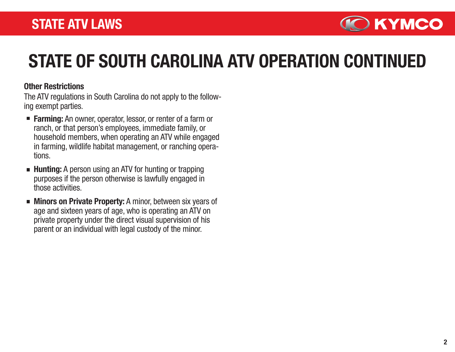

# STATE OF SOUTH CAROLINA ATV OPERATION CONTINUED

#### Other Restrictions

The ATV regulations in South Carolina do not apply to the following exempt parties.

- **Farming:** An owner, operator, lessor, or renter of a farm or ranch, or that person's employees, immediate family, or household members, when operating an ATV while engaged in farming, wildlife habitat management, or ranching operations.
- **Hunting:** A person using an ATV for hunting or trapping purposes if the person otherwise is lawfully engaged in those activities.
- **Minors on Private Property:** A minor, between six years of age and sixteen years of age, who is operating an ATV on private property under the direct visual supervision of his parent or an individual with legal custody of the minor.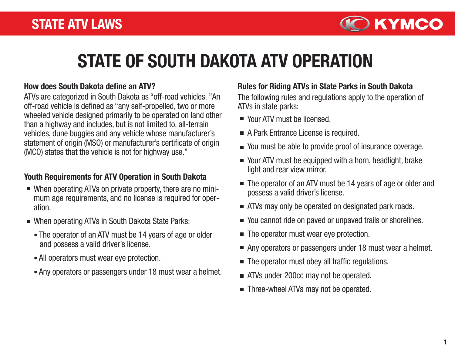

# STATE OF SOUTH DAKOTA ATV OPERATION

#### How does South Dakota define an ATV?

ATVs are categorized in South Dakota as "off-road vehicles. "An off-road vehicle is defined as "any self-propelled, two or more wheeled vehicle designed primarily to be operated on land other than a highway and includes, but is not limited to, all-terrain vehicles, dune buggies and any vehicle whose manufacturer's statement of origin (MSO) or manufacturer's certificate of origin (MCO) states that the vehicle is not for highway use."

### Youth Requirements for ATV Operation in South Dakota

- When operating ATVs on private property, there are no minimum age requirements, and no license is required for operation.
- When operating ATVs in South Dakota State Parks:
	- The operator of an ATV must be 14 years of age or older and possess a valid driver's license.
	- All operators must wear eye protection.
	- Any operators or passengers under 18 must wear a helmet.

#### Rules for Riding ATVs in State Parks in South Dakota

The following rules and regulations apply to the operation of ATVs in state parks:

- Your ATV must be licensed.
- A Park Entrance License is required.
- You must be able to provide proof of insurance coverage.
- Your ATV must be equipped with a horn, headlight, brake light and rear view mirror.
- The operator of an ATV must be 14 years of age or older and possess a valid driver's license.
- **EXTERG** ATVs may only be operated on designated park roads.
- You cannot ride on paved or unpaved trails or shorelines.  $\mathcal{L}_{\mathcal{A}}$
- The operator must wear eye protection.  $\mathcal{L}_{\mathcal{A}}$
- Any operators or passengers under 18 must wear a helmet.  $\mathcal{L}_{\mathcal{A}}$
- The operator must obey all traffic regulations.  $\blacksquare$
- ATVs under 200cc may not be operated.
- Three-wheel ATVs may not be operated.  $\mathcal{L}_{\mathcal{A}}$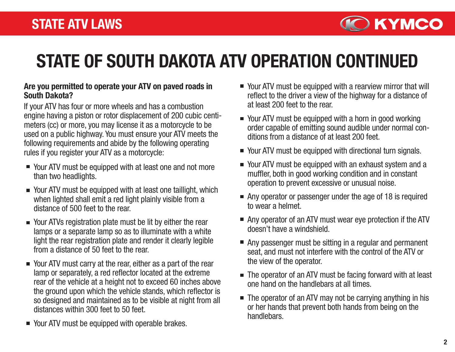

# STATE OF SOUTH DAKOTA ATV OPERATION CONTINUED

#### Are you permitted to operate your ATV on paved roads in South Dakota?

If your ATV has four or more wheels and has a combustion engine having a piston or rotor displacement of 200 cubic centimeters (cc) or more, you may license it as a motorcycle to be used on a public highway. You must ensure your ATV meets the following requirements and abide by the following operating rules if you register your ATV as a motorcycle:

- Your ATV must be equipped with at least one and not more than two headlights.
- Your ATV must be equipped with at least one taillight, which when lighted shall emit a red light plainly visible from a distance of 500 feet to the rear.
- Your ATVs registration plate must be lit by either the rear lamps or a separate lamp so as to illuminate with a white light the rear registration plate and render it clearly legible from a distance of 50 feet to the rear.
- Your ATV must carry at the rear, either as a part of the rear lamp or separately, a red reflector located at the extreme rear of the vehicle at a height not to exceed 60 inches above the ground upon which the vehicle stands, which reflector is so designed and maintained as to be visible at night from all distances within 300 feet to 50 feet.
- Your ATV must be equipped with operable brakes.
- Your ATV must be equipped with a rearview mirror that will reflect to the driver a view of the highway for a distance of at least 200 feet to the rear.
- Your ATV must be equipped with a horn in good working order capable of emitting sound audible under normal conditions from a distance of at least 200 feet.
- Your ATV must be equipped with directional turn signals.
- Your ATV must be equipped with an exhaust system and a muffler, both in good working condition and in constant operation to prevent excessive or unusual noise.
- Any operator or passenger under the age of 18 is required to wear a helmet.
- Any operator of an ATV must wear eye protection if the ATV doesn't have a windshield.
- Any passenger must be sitting in a regular and permanent seat, and must not interfere with the control of the ATV or the view of the operator.
- The operator of an ATV must be facing forward with at least one hand on the handlebars at all times.
- The operator of an ATV may not be carrying anything in his or her hands that prevent both hands from being on the handlebars.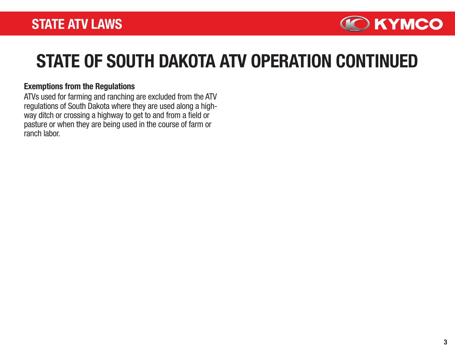

# STATE OF SOUTH DAKOTA ATV OPERATION CONTINUED

#### Exemptions from the Regulations

ATVs used for farming and ranching are excluded from the ATV regulations of South Dakota where they are used along a highway ditch or crossing a highway to get to and from a field or pasture or when they are being used in the course of farm or ranch labor.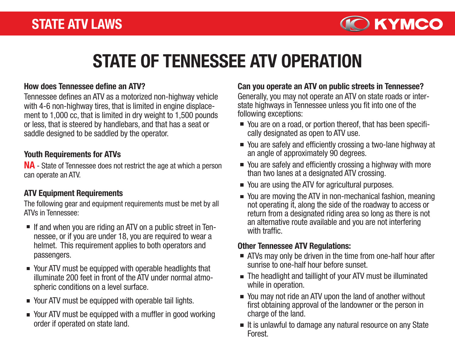

# STATE OF TENNESSEE ATV OPERATION

Tennessee defines an ATV as a motorized non-highway vehicle with 4-6 non-highway tires, that is limited in engine displacement to 1,000 cc, that is limited in dry weight to 1,500 pounds or less, that is steered by handlebars, and that has a seat or saddle designed to be saddled by the operator.

#### Youth Requirements for ATVs

NA - State of Tennessee does not restrict the age at which a person can operate an ATV.

#### ATV Equipment Requirements

The following gear and equipment requirements must be met by all ATVs in Tennessee:

- If and when you are riding an ATV on a public street in Tennessee, or if you are under 18, you are required to wear a helmet. This requirement applies to both operators and passengers.
- Your ATV must be equipped with operable headlights that illuminate 200 feet in front of the ATV under normal atmospheric conditions on a level surface.
- Your ATV must be equipped with operable tail lights.
- Your ATV must be equipped with a muffler in good working order if operated on state land.

#### How does Tennessee define an ATV? Can you operate an ATV on public streets in Tennessee?

Generally, you may not operate an ATV on state roads or interstate highways in Tennessee unless you fit into one of the following exceptions:

- You are on a road, or portion thereof, that has been specifically designated as open to ATV use.
- You are safely and efficiently crossing a two-lane highway at an angle of approximately 90 degrees.
- You are safely and efficiently crossing a highway with more than two lanes at a designated ATV crossing.
- You are using the ATV for agricultural purposes.
- You are moving the ATV in non-mechanical fashion, meaning not operating it, along the side of the roadway to access or return from a designated riding area so long as there is not an alternative route available and you are not interfering with traffic.

#### Other Tennessee ATV Regulations:

- **EXT** ATVs may only be driven in the time from one-half hour after sunrise to one-half hour before sunset.
- The headlight and taillight of your ATV must be illuminated while in operation.
- You may not ride an ATV upon the land of another without first obtaining approval of the landowner or the person in charge of the land.
- $\blacksquare$  It is unlawful to damage any natural resource on any State Forest.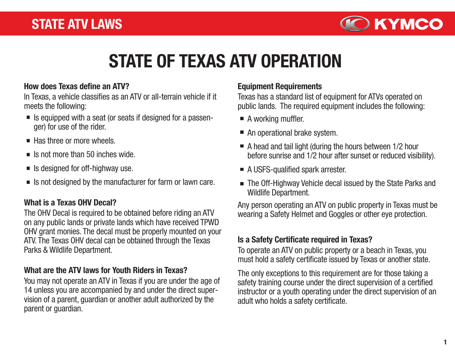

# STATE OF TEXAS ATV OPERATION

### How does Texas define an ATV?

In Texas, a vehicle classifies as an ATV or all-terrain vehicle if it meets the following:

- $\blacksquare$  Is equipped with a seat (or seats if designed for a passenger) for use of the rider.
- $\blacksquare$  Has three or more wheels.
- $\blacksquare$  Is not more than 50 inches wide.
- $\blacksquare$  Is designed for off-highway use.
- Is not designed by the manufacturer for farm or lawn care.

### What is a Texas OHV Decal?

The OHV Decal is required to be obtained before riding an ATV on any public lands or private lands which have received TPWD OHV grant monies. The decal must be properly mounted on your ATV. The Texas OHV decal can be obtained through the Texas Parks & Wildlife Department.

### What are the ATV laws for Youth Riders in Texas?

You may not operate an ATV in Texas if you are under the age of 14 unless you are accompanied by and under the direct supervision of a parent, guardian or another adult authorized by the parent or guardian.

#### Equipment Requirements

Texas has a standard list of equipment for ATVs operated on public lands. The required equipment includes the following:

- A working muffler.
- An operational brake system.
- $\blacksquare$  A head and tail light (during the hours between 1/2 hour before sunrise and 1/2 hour after sunset or reduced visibility).
- A USFS-qualified spark arrester.
- The Off-Highway Vehicle decal issued by the State Parks and Wildlife Department.

Any person operating an ATV on public property in Texas must be wearing a Safety Helmet and Goggles or other eye protection.

## Is a Safety Certificate required in Texas?

To operate an ATV on public property or a beach in Texas, you must hold a safety certificate issued by Texas or another state.

The only exceptions to this requirement are for those taking a safety training course under the direct supervision of a certified instructor or a youth operating under the direct supervision of an adult who holds a safety certificate.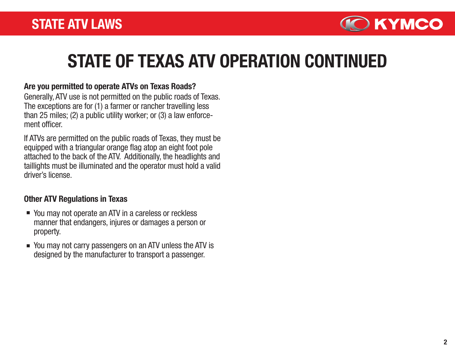

# STATE OF TEXAS ATV OPERATION CONTINUED

### Are you permitted to operate ATVs on Texas Roads?

Generally, ATV use is not permitted on the public roads of Texas. The exceptions are for (1) a farmer or rancher travelling less than 25 miles; (2) a public utility worker; or (3) a law enforcement officer

If ATVs are permitted on the public roads of Texas, they must be equipped with a triangular orange flag atop an eight foot pole attached to the back of the ATV. Additionally, the headlights and taillights must be illuminated and the operator must hold a valid driver's license.

## Other ATV Regulations in Texas

- You may not operate an ATV in a careless or reckless manner that endangers, injures or damages a person or property.
- You may not carry passengers on an ATV unless the ATV is designed by the manufacturer to transport a passenger.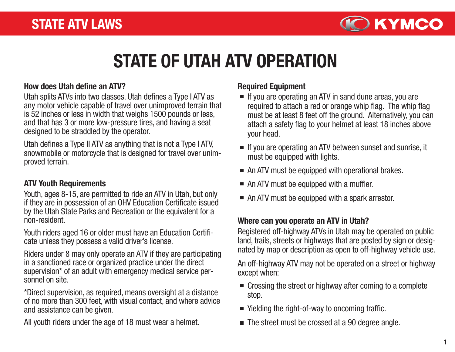

# STATE OF UTAH ATV OPERATION

#### How does Utah define an ATV?

Utah splits ATVs into two classes. Utah defines a Type I ATV as any motor vehicle capable of travel over unimproved terrain that is 52 inches or less in width that weighs 1500 pounds or less, and that has 3 or more low-pressure tires, and having a seat designed to be straddled by the operator.

Utah defines a Type II ATV as anything that is not a Type I ATV, snowmobile or motorcycle that is designed for travel over unim proved terrain.

### ATV Youth Requirements

Youth, ages 8-15, are permitted to ride an ATV in Utah, but only if they are in possession of an OHV Education Certificate issued by the Utah State Parks and Recreation or the equivalent for a non-resident.

Youth riders aged 16 or older must have an Education Certificate unless they possess a valid driver's license.

Riders under 8 may only operate an ATV if they are participating in a sanctioned race or organized practice under the direct supervision\* of an adult with emergency medical service personnel on site.

\*Direct supervision, as required, means oversight at a distance of no more than 300 feet, with visual contact, and where advice and assistance can be given.

All youth riders under the age of 18 must wear a helmet.

## Required Equipment

- If you are operating an ATV in sand dune areas, you are required to attach a red or orange whip flag. The whip flag must be at least 8 feet off the ground. Alternatively, you can attach a safety flag to your helmet at least 18 inches above your head.
- If you are operating an ATV between sunset and sunrise, it must be equipped with lights.
- An ATV must be equipped with operational brakes.
- An ATV must be equipped with a muffler.
- An ATV must be equipped with a spark arrestor.

### Where can you operate an ATV in Utah?

Registered off-highway ATVs in Utah may be operated on public land, trails, streets or highways that are posted by sign or designated by map or description as open to off-highway vehicle use.

An off-highway ATV may not be operated on a street or highway except when:

- Crossing the street or highway after coming to a complete stop.
- Yielding the right-of-way to oncoming traffic.
- The street must be crossed at a 90 degree angle.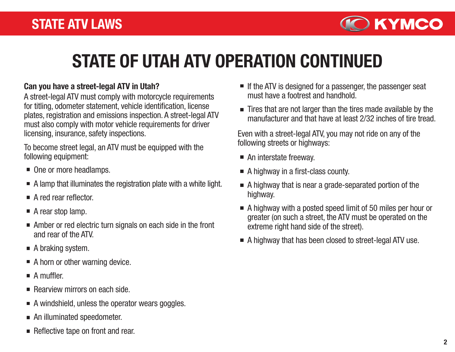

# STATE OF UTAH ATV OPERATION CONTINUED

### Can you have a street-legal ATV in Utah?

A street-legal ATV must comply with motorcycle requirements for titling, odometer statement, vehicle identification, license plates, registration and emissions inspection. A street-legal ATV must also comply with motor vehicle requirements for driver licensing, insurance, safety inspections.

To become street legal, an ATV must be equipped with the following equipment:

- One or more headlamps.
- A lamp that illuminates the registration plate with a white light.
- A red rear reflector
- A rear stop lamp.
- Amber or red electric turn signals on each side in the front and rear of the ATV.
- A braking system.
- A horn or other warning device.
- $\blacksquare$  A muffler.
- Rearview mirrors on each side.
- $\blacksquare$  A windshield, unless the operator wears goggles.
- An illuminated speedometer.
- Reflective tape on front and rear.
- $\blacksquare$  If the ATV is designed for a passenger, the passenger seat must have a footrest and handhold.
- Tires that are not larger than the tires made available by the manufacturer and that have at least 2/32 inches of tire tread.

Even with a street-legal ATV, you may not ride on any of the following streets or highways:

- An interstate freeway.
- A highway in a first-class county.
- A highway that is near a grade-separated portion of the highway.
- A highway with a posted speed limit of 50 miles per hour or greater (on such a street, the ATV must be operated on the extreme right hand side of the street).
- A highway that has been closed to street-legal ATV use.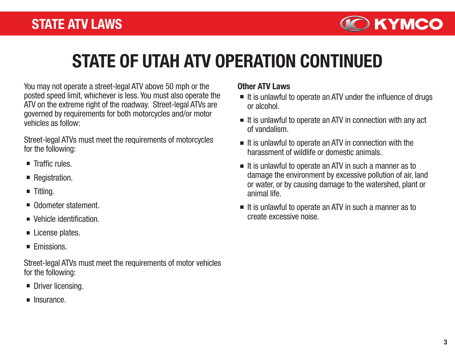

### STATE OF UTAH ATV OPERATION CONTINUED

You may not operate a street-legal ATV above 50 mph or the posted speed limit, whichever is less. You must also operate the ATV on the extreme right of the roadway. Street-legal ATVs are governed by requirements for both motorcycles and/or motor vehicles as follow:

Street-legal ATVs must meet the requirements of motorcycles for the following:

- $\blacksquare$  Traffic rules.
- Registration.
- $\blacksquare$  Titling.
- Odometer statement.
- Vehicle identification.
- License plates.
- **Emissions.**

Street-legal ATVs must meet the requirements of motor vehicles for the following:

- **Driver licensing.**
- $\blacksquare$  Insurance.

#### Other ATV Laws

- $\blacksquare$  It is unlawful to operate an ATV under the influence of drugs or alcohol.
- $\blacksquare$  It is unlawful to operate an ATV in connection with any act of vandalism.
- $\blacksquare$  It is unlawful to operate an ATV in connection with the harassment of wildlife or domestic animals.
- $\blacksquare$  It is unlawful to operate an ATV in such a manner as to damage the environment by excessive pollution of air, land or water, or by causing damage to the watershed, plant or animal life.
- $\blacksquare$  It is unlawful to operate an ATV in such a manner as to create excessive noise.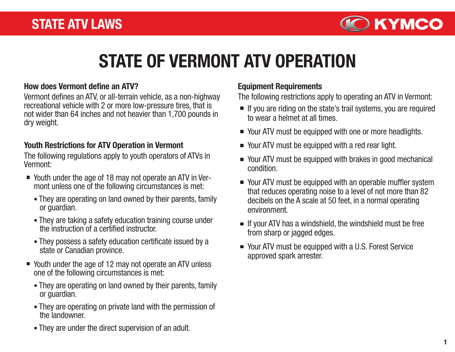

## STATE OF VERMONT ATV OPERATION

#### How does Vermont define an ATV?

Vermont defines an ATV, or all-terrain vehicle, as a non-highway recreational vehicle with 2 or more low-pressure tires, that is not wider than 64 inches and not heavier than 1,700 pounds in dry weight.

#### Youth Restrictions for ATV Operation in Vermont

The following regulations apply to youth operators of ATVs in Vermont:

- Youth under the age of 18 may not operate an ATV in Vermont unless one of the following circumstances is met:
	- They are operating on land owned by their parents, family or guardian.
	- They are taking a safety education training course under the instruction of a certified instructor.
	- They possess a safety education certificate issued by a state or Canadian province.
- Youth under the age of 12 may not operate an ATV unless one of the following circumstances is met:
	- They are operating on land owned by their parents, family or guardian.
	- They are operating on private land with the permission of the landowner.
	- They are under the direct supervision of an adult.

#### Equipment Requirements

The following restrictions apply to operating an ATV in Vermont:

- If you are riding on the state's trail systems, you are required to wear a helmet at all times.
- Your ATV must be equipped with one or more headlights.
- Your ATV must be equipped with a red rear light.
- Your ATV must be equipped with brakes in good mechanical condition.
- Your ATV must be equipped with an operable muffler system that reduces operating noise to a level of not more than 82 decibels on the A scale at 50 feet, in a normal operating environment.
- If your ATV has a windshield, the windshield must be free from sharp or jagged edges.
- Your ATV must be equipped with a U.S. Forest Service approved spark arrester.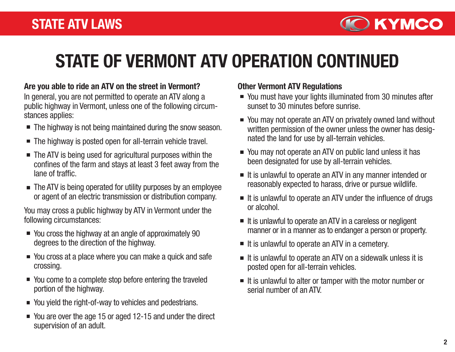

## STATE OF VERMONT ATV OPERATION CONTINUED

#### Are you able to ride an ATV on the street in Vermont?

In general, you are not permitted to operate an ATV along a public highway in Vermont, unless one of the following circumstances applies:

- The highway is not being maintained during the snow season.
- The highway is posted open for all-terrain vehicle travel.
- The ATV is being used for agricultural purposes within the confines of the farm and stays at least 3 feet away from the lane of traffic.
- The ATV is being operated for utility purposes by an employee or agent of an electric transmission or distribution company.

You may cross a public highway by ATV in Vermont under the following circumstances:

- You cross the highway at an angle of approximately 90 degrees to the direction of the highway.
- You cross at a place where you can make a quick and safe crossing.
- You come to a complete stop before entering the traveled portion of the highway.
- You yield the right-of-way to vehicles and pedestrians.
- You are over the age 15 or aged 12-15 and under the direct supervision of an adult.

#### Other Vermont ATV Regulations

- You must have your lights illuminated from 30 minutes after sunset to 30 minutes before sunrise.
- You may not operate an ATV on privately owned land without written permission of the owner unless the owner has designated the land for use by all-terrain vehicles.
- You may not operate an ATV on public land unless it has been designated for use by all-terrain vehicles.
- It is unlawful to operate an ATV in any manner intended or reasonably expected to harass, drive or pursue wildlife.
- $\blacksquare$  It is unlawful to operate an ATV under the influence of drugs or alcohol.
- $\blacksquare$  It is unlawful to operate an ATV in a careless or negligent manner or in a manner as to endanger a person or property.
- $\blacksquare$  It is unlawful to operate an ATV in a cemetery.
- $\blacksquare$  It is unlawful to operate an ATV on a sidewalk unless it is posted open for all-terrain vehicles.
- $\blacksquare$  It is unlawful to alter or tamper with the motor number or serial number of an ATV.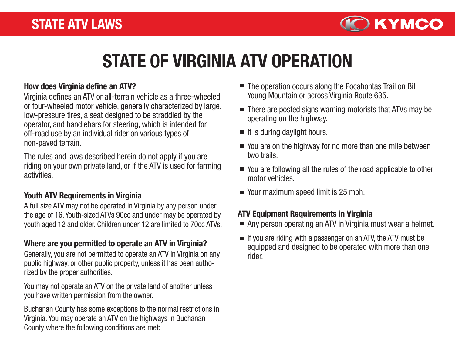

### STATE OF VIRGINIA ATV OPERATION

Virginia defines an ATV or all-terrain vehicle as a three-wheeled or four-wheeled motor vehicle, generally characterized by large, low-pressure tires, a seat designed to be straddled by the operator, and handlebars for steering, which is intended for off-road use by an individual rider on various types of non-paved terrain.

The rules and laws described herein do not apply if you are riding on your own private land, or if the ATV is used for farming activities.

#### Youth ATV Requirements in Virginia

A full size ATV may not be operated in Virginia by any person under the age of 16. Youth-sized ATVs 90cc and under may be operated by youth aged 12 and older. Children under 12 are limited to 70cc ATVs.

#### Where are you permitted to operate an ATV in Virginia?

Generally, you are not permitted to operate an ATV in Virginia on any public highway, or other public property, unless it has been authorized by the proper authorities.

You may not operate an ATV on the private land of another unless you have written permission from the owner.

Buchanan County has some exceptions to the normal restrictions in Virginia. You may operate an ATV on the highways in Buchanan County where the following conditions are met:

- How does Virginia define an ATV? The operation occurs along the Pocahontas Trail on Bill Young Mountain or across Virginia Route 635.
	- There are posted signs warning motorists that ATVs may be operating on the highway.
	- $\blacksquare$  It is during daylight hours.
	- You are on the highway for no more than one mile between two trails.
	- You are following all the rules of the road applicable to other motor vehicles.
	- Your maximum speed limit is 25 mph.

#### ATV Equipment Requirements in Virginia

- Any person operating an ATV in Virginia must wear a helmet.
- $\blacksquare$  If you are riding with a passenger on an ATV, the ATV must be equipped and designed to be operated with more than one rider.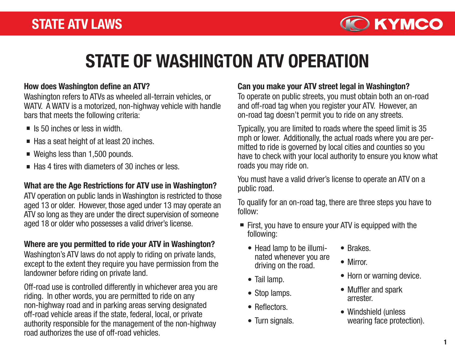

### STATE OF WASHINGTON ATV OPERATION

#### How does Washington define an ATV?

Washington refers to ATVs as wheeled all-terrain vehicles, or WATV. A WATV is a motorized, non-highway vehicle with handle bars that meets the following criteria:

- $\blacksquare$  Is 50 inches or less in width.
- $\blacksquare$  Has a seat height of at least 20 inches.
- Weighs less than 1,500 pounds.
- $\blacksquare$  Has 4 tires with diameters of 30 inches or less.

#### What are the Age Restrictions for ATV use in Washington?

ATV operation on public lands in Washington is restricted to those aged 13 or older. However, those aged under 13 may operate an ATV so long as they are under the direct supervision of someone aged 18 or older who possesses a valid driver's license.

#### Where are you permitted to ride your ATV in Washington?

Washington's ATV laws do not apply to riding on private lands, except to the extent they require you have permission from the landowner before riding on private land.

Off-road use is controlled differently in whichever area you are riding. In other words, you are permitted to ride on any non-highway road and in parking areas serving designated off-road vehicle areas if the state, federal, local, or private authority responsible for the management of the non-highway road authorizes the use of off-road vehicles.

#### Can you make your ATV street legal in Washington?

To operate on public streets, you must obtain both an on-road and off-road tag when you register your ATV. However, an on-road tag doesn't permit you to ride on any streets.

Typically, you are limited to roads where the speed limit is 35 mph or lower. Additionally, the actual roads where you are permitted to ride is governed by local cities and counties so you have to check with your local authority to ensure you know what roads you may ride on.

You must have a valid driver's license to operate an ATV on a public road.

To qualify for an on-road tag, there are three steps you have to follow:

- First, you have to ensure your ATV is equipped with the following:
	- Head lamp to be illuminated whenever you are driving on the road.
	- Tail lamp.
	- Stop lamps.
	- Reflectors.
	- Turn signals.
- Brakes.
- Mirror.
- Horn or warning device.
- Muffler and spark arrester.
- Windshield (unless wearing face protection).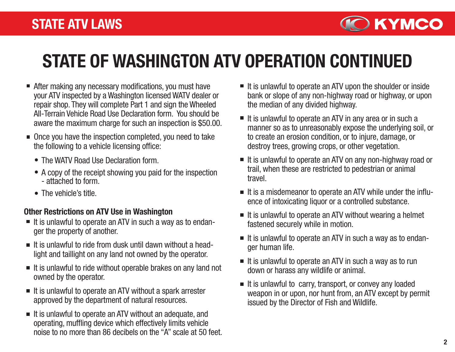

## STATE OF WASHINGTON ATV OPERATION CONTINUED

- After making any necessary modifications, you must have your ATV inspected by a Washington licensed WATV dealer or repair shop. They will complete Part 1 and sign the Wheeled All-Terrain Vehicle Road Use Declaration form. You should be aware the maximum charge for such an inspection is \$50.00.
- Once you have the inspection completed, you need to take the following to a vehicle licensing office:
	- The WATV Road Use Declaration form.
	- A copy of the receipt showing you paid for the inspection - attached to form.
	- The vehicle's title.

#### Other Restrictions on ATV Use in Washington

- $\blacksquare$  It is unlawful to operate an ATV in such a way as to endanger the property of another.
- $\blacksquare$  It is unlawful to ride from dusk until dawn without a headlight and taillight on any land not owned by the operator.
- $\blacksquare$  It is unlawful to ride without operable brakes on any land not owned by the operator.
- $\blacksquare$  It is unlawful to operate an ATV without a spark arrester approved by the department of natural resources.
- $\blacksquare$  It is unlawful to operate an ATV without an adequate, and operating, muffling device which effectively limits vehicle noise to no more than 86 decibels on the "A" scale at 50 feet.
- $\blacksquare$  It is unlawful to operate an ATV upon the shoulder or inside bank or slope of any non-highway road or highway, or upon the median of any divided highway.
- $\blacksquare$  It is unlawful to operate an ATV in any area or in such a manner so as to unreasonably expose the underlying soil, or to create an erosion condition, or to injure, damage, or destroy trees, growing crops, or other vegetation.
- $\blacksquare$  It is unlawful to operate an ATV on any non-highway road or trail, when these are restricted to pedestrian or animal travel.
- It is a misdemeanor to operate an ATV while under the influence of intoxicating liquor or a controlled substance.
- $\blacksquare$  It is unlawful to operate an ATV without wearing a helmet fastened securely while in motion.
- $\blacksquare$  It is unlawful to operate an ATV in such a way as to endanger human life.
- $\blacksquare$  It is unlawful to operate an ATV in such a way as to run down or harass any wildlife or animal.
- $\blacksquare$  It is unlawful to carry, transport, or convey any loaded weapon in or upon, nor hunt from, an ATV except by permit issued by the Director of Fish and Wildlife.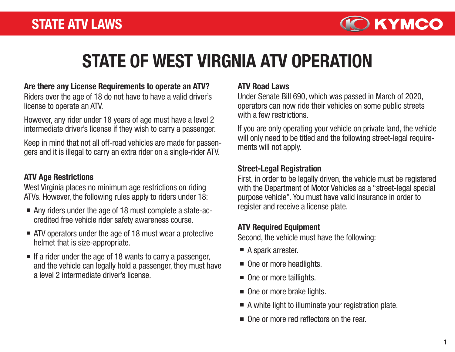

### STATE OF WEST VIRGNIA ATV OPERATION

#### Are there any License Requirements to operate an ATV?

Riders over the age of 18 do not have to have a valid driver's license to operate an ATV.

However, any rider under 18 years of age must have a level 2 intermediate driver's license if they wish to carry a passenger.

Keep in mind that not all off-road vehicles are made for passengers and it is illegal to carry an extra rider on a single-rider ATV.

#### ATV Age Restrictions

West Virginia places no minimum age restrictions on riding ATVs. However, the following rules apply to riders under 18:

- Any riders under the age of 18 must complete a state-accredited free vehicle rider safety awareness course.
- ATV operators under the age of 18 must wear a protective helmet that is size-appropriate.
- $\blacksquare$  If a rider under the age of 18 wants to carry a passenger, and the vehicle can legally hold a passenger, they must have a level 2 intermediate driver's license.

#### ATV Road Laws

Under Senate Bill 690, which was passed in March of 2020, operators can now ride their vehicles on some public streets with a few restrictions.

If you are only operating your vehicle on private land, the vehicle will only need to be titled and the following street-legal requirements will not apply.

#### Street-Legal Registration

First, in order to be legally driven, the vehicle must be registered with the Department of Motor Vehicles as a "street-legal special purpose vehicle". You must have valid insurance in order to register and receive a license plate.

#### ATV Required Equipment

Second, the vehicle must have the following:

- A spark arrester.
- One or more headlights.
- One or more taillights.
- One or more brake lights.
- A white light to illuminate your registration plate.
- One or more red reflectors on the rear.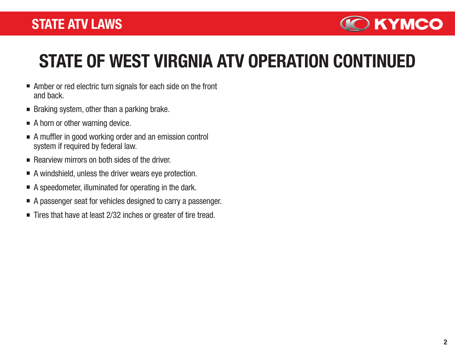### STATE ATV LAWS



### STATE OF WEST VIRGNIA ATV OPERATION CONTINUED

- Amber or red electric turn signals for each side on the front and back.
- $\blacksquare$  Braking system, other than a parking brake.
- A horn or other warning device.
- A muffler in good working order and an emission control system if required by federal law.
- $\blacksquare$  Rearview mirrors on both sides of the driver.
- A windshield, unless the driver wears eye protection.
- A speedometer, illuminated for operating in the dark.
- A passenger seat for vehicles designed to carry a passenger.
- Tires that have at least 2/32 inches or greater of tire tread.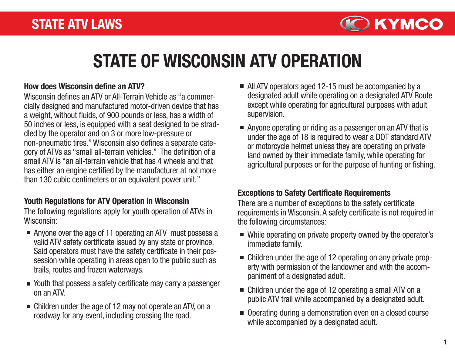

### STATE OF WISCONSIN ATV OPERATION

#### How does Wisconsin define an ATV?

Wisconsin defines an ATV or All-Terrain Vehicle as "a commercially designed and manufactured motor-driven device that has a weight, without fluids, of 900 pounds or less, has a width of 50 inches or less, is equipped with a seat designed to be straddled by the operator and on 3 or more low-pressure or non-pneumatic tires." Wisconsin also defines a separate category of ATVs as "small all-terrain vehicles." The definition of a small ATV is "an all-terrain vehicle that has 4 wheels and that has either an engine certified by the manufacturer at not more than 130 cubic centimeters or an equivalent power unit."

#### Youth Regulations for ATV Operation in Wisconsin

The following regulations apply for youth operation of ATVs in Wisconsin:

- Anyone over the age of 11 operating an ATV must possess a valid ATV safety certificate issued by any state or province. Said operators must have the safety certificate in their possession while operating in areas open to the public such as trails, routes and frozen waterways.
- Youth that possess a safety certificate may carry a passenger on an ATV.
- Children under the age of 12 may not operate an ATV, on a roadway for any event, including crossing the road.
- All ATV operators aged 12-15 must be accompanied by a designated adult while operating on a designated ATV Route except while operating for agricultural purposes with adult supervision.
- Anyone operating or riding as a passenger on an ATV that is under the age of 18 is required to wear a DOT standard ATV or motorcycle helmet unless they are operating on private land owned by their immediate family, while operating for agricultural purposes or for the purpose of hunting or fishing.

#### Exceptions to Safety Certificate Requirements

There are a number of exceptions to the safety certificate requirements in Wisconsin. A safety certificate is not required in the following circumstances:

- While operating on private property owned by the operator's immediate family.
- Children under the age of 12 operating on any private property with permission of the landowner and with the accompaniment of a designated adult.
- Children under the age of 12 operating a small ATV on a public ATV trail while accompanied by a designated adult.
- Operating during a demonstration even on a closed course while accompanied by a designated adult.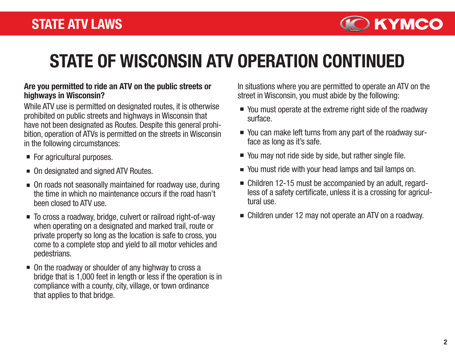

### STATE OF WISCONSIN ATV OPERATION CONTINUED

#### Are you permitted to ride an ATV on the public streets or highways in Wisconsin?

While ATV use is permitted on designated routes, it is otherwise prohibited on public streets and highways in Wisconsin that have not been designated as Routes. Despite this general prohibition, operation of ATVs is permitted on the streets in Wisconsin in the following circumstances:

- For agricultural purposes.
- On designated and signed ATV Routes.
- On roads not seasonally maintained for roadway use, during the time in which no maintenance occurs if the road hasn't been closed to ATV use.
- To cross a roadway, bridge, culvert or railroad right-of-way when operating on a designated and marked trail, route or private property so long as the location is safe to cross, you come to a complete stop and yield to all motor vehicles and pedestrians.
- On the roadway or shoulder of any highway to cross a bridge that is 1,000 feet in length or less if the operation is in compliance with a county, city, village, or town ordinance that applies to that bridge.

In situations where you are permitted to operate an ATV on the street in Wisconsin, you must abide by the following:

- You must operate at the extreme right side of the roadway surface.
- You can make left turns from any part of the roadway surface as long as it's safe.
- You may not ride side by side, but rather single file.
- You must ride with your head lamps and tail lamps on.
- Children 12-15 must be accompanied by an adult, regardless of a safety certificate, unless it is a crossing for agricultural use.
- Children under 12 may not operate an ATV on a roadway.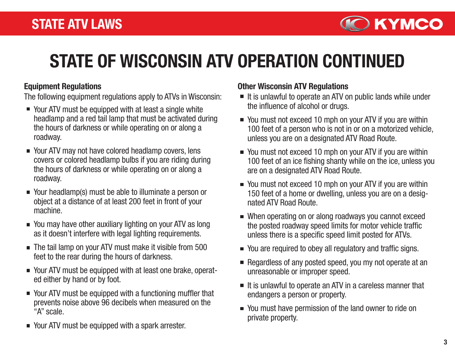

## STATE OF WISCONSIN ATV OPERATION CONTINUED

#### Equipment Regulations

The following equipment regulations apply to ATVs in Wisconsin:

- Your ATV must be equipped with at least a single white headlamp and a red tail lamp that must be activated during the hours of darkness or while operating on or along a roadway.
- Your ATV may not have colored headlamp covers, lens covers or colored headlamp bulbs if you are riding during the hours of darkness or while operating on or along a roadway.
- Your headlamp(s) must be able to illuminate a person or object at a distance of at least 200 feet in front of your machine.
- You may have other auxiliary lighting on your ATV as long as it doesn't interfere with legal lighting requirements.
- The tail lamp on your ATV must make it visible from 500 feet to the rear during the hours of darkness.
- Your ATV must be equipped with at least one brake, operated either by hand or by foot.
- Your ATV must be equipped with a functioning muffler that prevents noise above 96 decibels when measured on the "A" scale.
- Your ATV must be equipped with a spark arrester.

#### Other Wisconsin ATV Regulations

- It is unlawful to operate an ATV on public lands while under the influence of alcohol or drugs.
- You must not exceed 10 mph on your ATV if you are within 100 feet of a person who is not in or on a motorized vehicle, unless you are on a designated ATV Road Route.
- You must not exceed 10 mph on your ATV if you are within 100 feet of an ice fishing shanty while on the ice, unless you are on a designated ATV Road Route.
- You must not exceed 10 mph on your ATV if you are within 150 feet of a home or dwelling, unless you are on a designated ATV Road Route.
- When operating on or along roadways you cannot exceed the posted roadway speed limits for motor vehicle traffic unless there is a specific speed limit posted for ATVs.
- You are required to obey all regulatory and traffic signs.
- Regardless of any posted speed, you my not operate at an  $\blacksquare$ unreasonable or improper speed.
- $\blacksquare$  It is unlawful to operate an ATV in a careless manner that endangers a person or property.
- You must have permission of the land owner to ride on private property.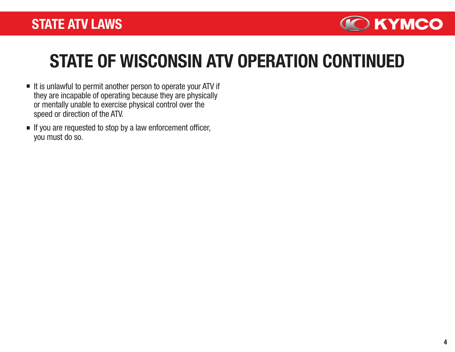

### STATE OF WISCONSIN ATV OPERATION CONTINUED

- $\blacksquare$  It is unlawful to permit another person to operate your ATV if they are incapable of operating because they are physically or mentally unable to exercise physical control over the speed or direction of the ATV.
- If you are requested to stop by a law enforcement officer, you must do so.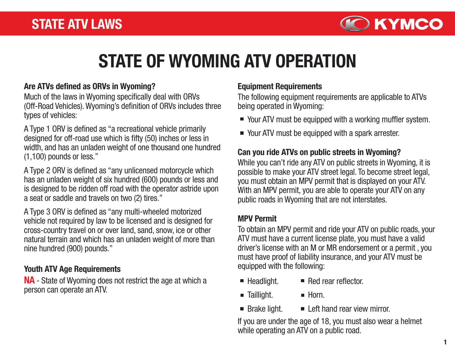

### STATE OF WYOMING ATV OPERATION

#### Are ATVs defined as ORVs in Wyoming?

Much of the laws in Wyoming specifically deal with ORVs (Off-Road Vehicles). Wyoming's definition of ORVs includes three types of vehicles:

A Type 1 ORV is defined as "a recreational vehicle primarily designed for off-road use which is fifty (50) inches or less in width, and has an unladen weight of one thousand one hundred (1,100) pounds or less."

A Type 2 ORV is defined as "any unlicensed motorcycle which has an unladen weight of six hundred (600) pounds or less and is designed to be ridden off road with the operator astride upon a seat or saddle and travels on two (2) tires."

A Type 3 ORV is defined as "any multi-wheeled motorized vehicle not required by law to be licensed and is designed for cross-country travel on or over land, sand, snow, ice or other natural terrain and which has an unladen weight of more than nine hundred (900) pounds."

#### Youth ATV Age Requirements

NA - State of Wyoming does not restrict the age at which a person can operate an ATV.

#### Equipment Requirements

The following equipment requirements are applicable to ATVs being operated in Wyoming:

- Your ATV must be equipped with a working muffler system.
- Your ATV must be equipped with a spark arrester.

### Can you ride ATVs on public streets in Wyoming?

While you can't ride any ATV on public streets in Wyoming, it is possible to make your ATV street legal. To become street legal, you must obtain an MPV permit that is displayed on your ATV. With an MPV permit, you are able to operate your ATV on any public roads in Wyoming that are not interstates.

#### MPV Permit

To obtain an MPV permit and ride your ATV on public roads, your ATV must have a current license plate, you must have a valid driver's license with an M or MR endorsement or a permit , you must have proof of liability insurance, and your ATV must be equipped with the following:

- **Headlight.** Red rear reflector.
- **Taillight.**  $\blacksquare$  Horn.
- Brake light. **Left hand rear view mirror.**

If you are under the age of 18, you must also wear a helmet while operating an ATV on a public road.